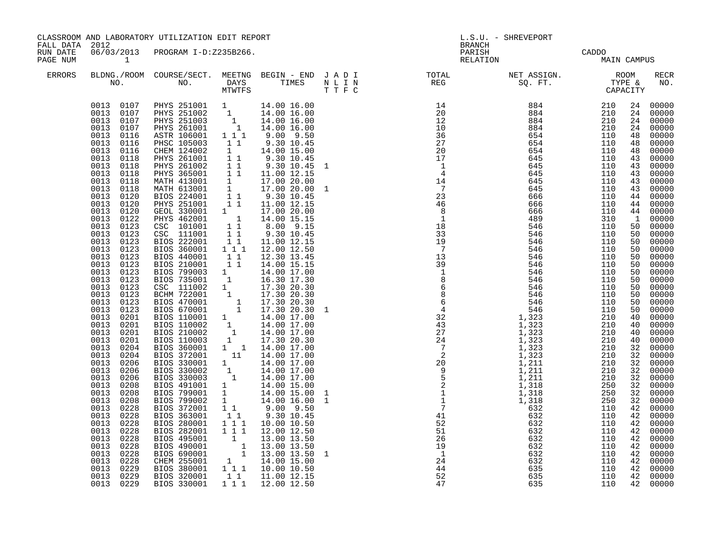| FALL DATA 2012       |                                                                                                                                                                                                                                                                                                                                                                                                                                                                                                                                                                                                                                                                                                                                                                  | CLASSROOM AND LABORATORY UTILIZATION EDIT REPORT                                                                                                                                                                                                                                                                                                                                                                                                                                                                                                                                                                                                                                                                                                                                                                                                                                                                                                                                                                                                                  |                                                                                                                                                                                                                                             |                                                                                                                                                                                                                                                                                                                                                     | L.S.U. - SHREVEPORT<br><b>BRANCH</b> |                                                                                                                                       |                          |                          |                                                                                                                                                          |                                                                                                                                                                                                                                                                                                                                                                                                                                                                                                                                                                                                                                                                                                                     |
|----------------------|------------------------------------------------------------------------------------------------------------------------------------------------------------------------------------------------------------------------------------------------------------------------------------------------------------------------------------------------------------------------------------------------------------------------------------------------------------------------------------------------------------------------------------------------------------------------------------------------------------------------------------------------------------------------------------------------------------------------------------------------------------------|-------------------------------------------------------------------------------------------------------------------------------------------------------------------------------------------------------------------------------------------------------------------------------------------------------------------------------------------------------------------------------------------------------------------------------------------------------------------------------------------------------------------------------------------------------------------------------------------------------------------------------------------------------------------------------------------------------------------------------------------------------------------------------------------------------------------------------------------------------------------------------------------------------------------------------------------------------------------------------------------------------------------------------------------------------------------|---------------------------------------------------------------------------------------------------------------------------------------------------------------------------------------------------------------------------------------------|-----------------------------------------------------------------------------------------------------------------------------------------------------------------------------------------------------------------------------------------------------------------------------------------------------------------------------------------------------|--------------------------------------|---------------------------------------------------------------------------------------------------------------------------------------|--------------------------|--------------------------|----------------------------------------------------------------------------------------------------------------------------------------------------------|---------------------------------------------------------------------------------------------------------------------------------------------------------------------------------------------------------------------------------------------------------------------------------------------------------------------------------------------------------------------------------------------------------------------------------------------------------------------------------------------------------------------------------------------------------------------------------------------------------------------------------------------------------------------------------------------------------------------|
| RUN DATE<br>PAGE NUM | $\sim$ 1                                                                                                                                                                                                                                                                                                                                                                                                                                                                                                                                                                                                                                                                                                                                                         | 06/03/2013 PROGRAM I-D:Z235B266.                                                                                                                                                                                                                                                                                                                                                                                                                                                                                                                                                                                                                                                                                                                                                                                                                                                                                                                                                                                                                                  |                                                                                                                                                                                                                                             |                                                                                                                                                                                                                                                                                                                                                     |                                      | PARISH<br>RELATION                                                                                                                    |                          | CADDO<br>MAIN CAMPUS     |                                                                                                                                                          |                                                                                                                                                                                                                                                                                                                                                                                                                                                                                                                                                                                                                                                                                                                     |
| ERRORS               |                                                                                                                                                                                                                                                                                                                                                                                                                                                                                                                                                                                                                                                                                                                                                                  | NO. NO. DAYS TIMES NLIN<br>MTWTFS TTFC                                                                                                                                                                                                                                                                                                                                                                                                                                                                                                                                                                                                                                                                                                                                                                                                                                                                                                                                                                                                                            |                                                                                                                                                                                                                                             |                                                                                                                                                                                                                                                                                                                                                     |                                      | BLDNG./ROOM COURSE/SECT. MEETNG BEGIN – END JADI TOTAL NET ASSIGN. NET ASSIGN. ROOM NO. DAYS TIMES NLIN REG SQ.FT. TYPE &             |                          |                          |                                                                                                                                                          | RECR<br>NO.                                                                                                                                                                                                                                                                                                                                                                                                                                                                                                                                                                                                                                                                                                         |
|                      | 0013<br>0116<br>0013<br>0116<br>0013<br>0116<br>0013<br>0118<br>0013<br>0118<br>0013<br>0118<br>0013<br>0118<br>0013<br>0118<br>0013<br>0120<br>0013<br>0120<br>0013<br>0120<br>0013<br>0122<br>0013<br>0123<br>0013 0123<br>0013<br>0123<br>0013<br>0123<br>0013<br>0123<br>0013<br>0123<br>0013<br>0123<br>0013<br>0123<br>0013<br>0123<br>0013<br>0123<br>0013<br>0123<br>0013<br>0123<br>0013<br>0201<br>0013<br>0201<br>0013<br>0201<br>0013<br>0201<br>0013 0204<br>0013<br>0204<br>0013<br>0206<br>0013<br>0206<br>0013<br>0206<br>0013<br>0208<br>0013<br>0208<br>0013<br>0208<br>0013<br>0228<br>0013<br>0228<br>0013<br>0228<br>0013<br>0228<br>0013<br>0228<br>0013<br>0228<br>0013<br>0228<br>0013<br>0228<br>0013<br>0229<br>0013 0229<br>0013 0229 | $\begin{array}{cccc} 0013 & 0107 & \text{PHYS} & 251001 & 1 & 14.00 & 16.00 \\ 0013 & 0107 & \text{PHYS} & 251002 & 1 & 14.00 & 16.00 \\ 0013 & 0107 & \text{PHYS} & 251003 & 1 & 14.00 & 16.00 \\ 0013 & 0107 & \text{PHYS} & 261001 & 1 & 14.00 & 16.00 \\ \end{array}$<br>ASTR 106001<br>PHSC 105003<br>CHEM 124002<br>PHYS 261001<br>PHYS 261002<br>PHYS 365001 11<br>MATH 413001 1<br>MATH 613001 1<br>BIOS 224001 11<br>PHYS 251001 11<br>GEOL 330001 1<br>PHYS 462001 1<br>CSC 101001 11<br>CSC 111001<br>BIOS 222001<br>BIOS 360001<br>BIOS 440001<br>BIOS 210001<br>BIOS 210001 1 14.00 17.00<br>BIOS 799003 1 14.00 17.00<br>BIOS 735001 1 14.00 17.00<br>BIOS 735001 1 17.30 20.30<br>BCM 722001 1 17.30 20.30<br>BIOS 470001 1 17.30 20.30<br>BIOS 670001 1 17.30 20.30<br>BIOS 670001 1 14.00 17.00<br>BIOS 11<br>BIOS 280001<br>BIOS 282001<br>PIOS 495001<br>BIOS 490001<br>1 13.00 13.50<br>BIOS 690001<br>1 13.00 13.50<br>CHEM 255001 1 14.00 15.00<br>BIOS 380001 1 1 10.00 10.50<br>BIOS 380001 1 1 10.00 10.50<br>BIOS 320001<br>BIOS 330001 | $1 1 1$<br>11<br>$\mathbf{1}$<br>$\begin{array}{cc} 1 & 1 \\ 1 & 1 \end{array}$<br>$\begin{array}{ccc} & 1 & 1 \\ 1 & 1 & \end{array}$<br>1 1 1<br>$\begin{bmatrix} 1 & 1 \\ 1 & 1 \end{bmatrix}$<br>1 1 1<br>$\bar{1}$ $\bar{1}$ $\bar{1}$ | $9.00$ $9.50$<br>9.30 10.45<br>14.00 15.00<br>9.30 10.45<br>9.30 10.45 1<br>11.00 12.15<br>17.00 20.00<br>17.00 20.00<br>9.30 10.45<br>11.00 12.15<br>17.00 20.00<br>14.00 15.15<br>8.00 9.15<br>9.30 10.45<br>11.00 12.15<br>12.00 12.50<br>12.30 13.45<br>14.00 15.15<br>10.00 10.50<br>12.00 12.50<br>1 1 11.00 12.15<br>1 1 1 1 1 1 2 0 1 2 5 0 |                                      | $\begin{array}{c} 1 \\ 4 \\ 14 \\ 7 \\ 23 \\ 46 \end{array}$<br>$\overline{\phantom{0}}$ 8<br>$\overline{1}$<br>$1\overline{8}$<br>47 | 666<br>489<br>546<br>635 | 110<br>310<br>110<br>110 | 24<br>24<br>24<br>48<br>43<br>43<br>43<br>43<br>50<br>50<br>50<br>50<br>50<br>50<br>50<br>50<br>50<br>40<br>40<br>32<br>42<br>42<br>42<br>42<br>42<br>42 | 00000<br>00000<br>00000<br>24 00000<br>48 00000<br>48 00000<br>00000<br>00000<br>00000<br>43 00000<br>00000<br>00000<br>$\begin{bmatrix} 44 & 00000 \\ 44 & 00000 \end{bmatrix}$<br>44 00000<br>$\begin{bmatrix} 1 & 00000 \\ 50 & 00000 \end{bmatrix}$<br>$\frac{50}{50}$ 00000<br>50 00000<br>00000<br>00000<br>00000<br>00000<br>00000<br>00000<br>$00000$<br>00000<br>00000<br>00000<br>$\begin{bmatrix} 40 & 00000 \\ 40 & 00000 \end{bmatrix}$<br>00000<br>$\frac{32}{32}$ 00000<br>$\frac{32}{32}$ 00000<br>$\frac{32}{32}$ 00000<br>32 00000<br>32 00000<br>32 00000<br>32 00000<br>00000<br>00000<br>42 00000<br>42 00000<br>00000<br>00000<br>42 00000<br>00000<br>42 00000<br>00000<br>42 00000<br>00000 |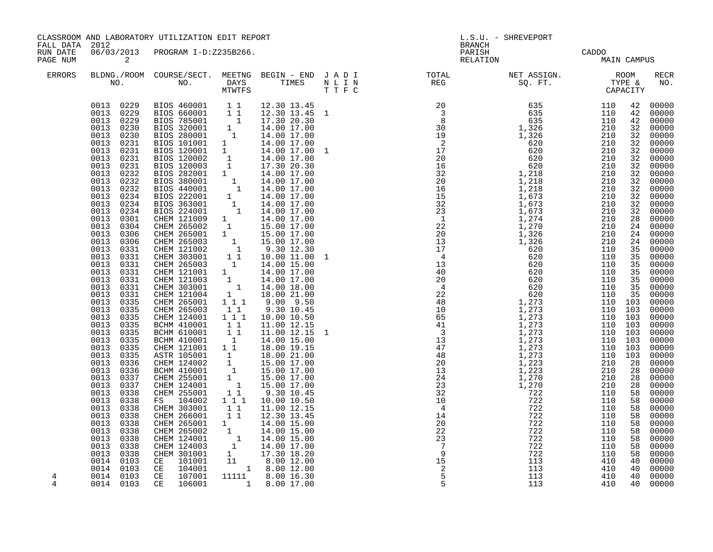| FALL DATA 2012       |                                                                                                                                                                                              | CLASSROOM AND LABORATORY UTILIZATION EDIT REPORT                                                                                                                                                                                                                                                               |  | L.S.U. - SHREVEPORT<br><b>BRANCH</b>                                                                                                                                                                                                                                                                                                                                                                                                           |                      |                   |                                                                                                                                                                                                                                                                                                                                                                                                                                                                                                                                                                                                                                                                                                                                                                                                              |
|----------------------|----------------------------------------------------------------------------------------------------------------------------------------------------------------------------------------------|----------------------------------------------------------------------------------------------------------------------------------------------------------------------------------------------------------------------------------------------------------------------------------------------------------------|--|------------------------------------------------------------------------------------------------------------------------------------------------------------------------------------------------------------------------------------------------------------------------------------------------------------------------------------------------------------------------------------------------------------------------------------------------|----------------------|-------------------|--------------------------------------------------------------------------------------------------------------------------------------------------------------------------------------------------------------------------------------------------------------------------------------------------------------------------------------------------------------------------------------------------------------------------------------------------------------------------------------------------------------------------------------------------------------------------------------------------------------------------------------------------------------------------------------------------------------------------------------------------------------------------------------------------------------|
| RUN DATE<br>PAGE NUM | $\overline{a}$                                                                                                                                                                               | 06/03/2013 PROGRAM I-D:Z235B266.                                                                                                                                                                                                                                                                               |  | PARISH<br>RELATION                                                                                                                                                                                                                                                                                                                                                                                                                             | CADDO<br>MAIN CAMPUS |                   |                                                                                                                                                                                                                                                                                                                                                                                                                                                                                                                                                                                                                                                                                                                                                                                                              |
| ERRORS               |                                                                                                                                                                                              |                                                                                                                                                                                                                                                                                                                |  | $\begin{tabular}{lllllllllllllllllllll} \textsc{BLONG.} \textsc{F100M.} & \textsc{CUIRSE/SECT.} & \textsc{METNG.} & \textsc{BEGIN - END.} & \textsc{J A D I} & \textsc{DTAT} & \textsc{NTGTL} & \textsc{NET ASSIGN.} & \textsc{ROOM} \\ \textsc{NO.} & \textsc{NO.} & \textsc{DAYS} & \textsc{TIMES} & \textsc{N L I N} & \textsc{REG} & \textsc{SG. FT.} & \textsc{CTP2} & \textsc{CAPACITY} \\ & \textsc{MTVTFS} & \textsc{T T F C} & \text$ |                      |                   | RECR<br>NO.                                                                                                                                                                                                                                                                                                                                                                                                                                                                                                                                                                                                                                                                                                                                                                                                  |
| 4                    | 0013<br>0335<br>0013<br>0335<br>0013<br>0335<br>0335<br>0013<br>0013<br>0335<br>0013<br>0335<br>0013<br>0335<br>0013<br>0336<br>0013<br>0336<br>0013<br>0337<br>0013<br>0337<br>0013<br>0338 | $\begin{tabular}{cccc} 0.013 & 0338 & \text{CHEM} & 255001 & 11 & 9.30 & 10.45 \\ 0013 & 0338 & \text{FS} & 104002 & 1 & 11 & 10.00 & 10.50 \\ 0013 & 0338 & \text{CHEM} & 303001 & 11 & 11.00 & 12.15 \\ 0013 & 0338 & \text{CHEM} & 266001 & 1 & 12.30 & 13.45 \\ 0013 & 0338 & \text{CHEM} & 265001 & 1 & $ |  | $\begin{array}{c}\n 15 \\  2 \\  5\n \end{array}$                                                                                                                                                                                                                                                                                                                                                                                              | 113<br>113<br>113    | 410<br>410<br>410 | 00000<br>00000<br>42 00000<br>32 00000<br>32 00000<br>00000<br>32 00000<br>$\frac{32}{32} \begin{array}{rr} 0.00000 \\ 0.00000 \\ 0.00000 \\ 0.00000 \\ 0.00000 \\ 0.00000 \\ 0.00000 \\ 0.00000 \\ 0.00000 \\ 0.00000 \\ 0.00000 \\ 0.00000 \\ 0.00000 \\ 0.00000 \\ 0.00000 \\ 0.00000 \\ 0.00000 \\ 0.00000 \\ 0.00000 \\ 0.00000 \\ 0.00000 \\ 0.00000 \\ 0.000$<br>$\frac{32}{32}$ 00000<br>32 00000<br>$\begin{array}{r} 32\ 28\ 28\ 00000\ 24\ 000000\ 24\ 000000\ 24\ 000000\ \end{array}$<br>24 00000<br>$\frac{25}{35}$ 00000<br>35 00000<br>35 00000<br>00000<br>00000<br>$00000$<br>00000<br>00000<br>00000<br>00000<br>28 00000<br>58 00000<br>00000<br>00000<br>00000<br>00000<br>58 00000<br>58 00000<br>58 00000<br>$\begin{array}{c} 40 & 00000 \\ 40 & 00000 \\ 40 & 00000 \\ \end{array}$ |
| 4                    |                                                                                                                                                                                              |                                                                                                                                                                                                                                                                                                                |  |                                                                                                                                                                                                                                                                                                                                                                                                                                                | 113                  | 410               | 40 00000                                                                                                                                                                                                                                                                                                                                                                                                                                                                                                                                                                                                                                                                                                                                                                                                     |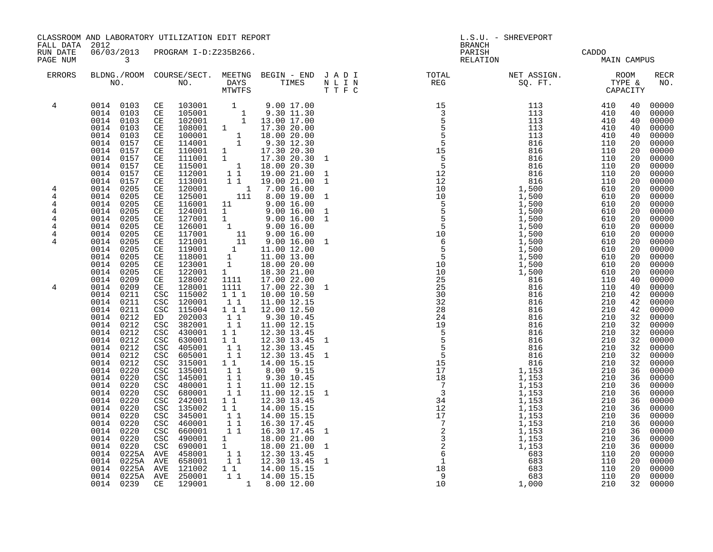|                                                                                                                                                                                                                                                                                                                                                                                                                                                                                                                                                                                                                                                                                                                                                                                                                                                                                                                                                                                                                                                                                                                                                                                                                                                                                                                                                                                                                                                                                                                                                                                                                                                                                                                                                                                                                                                                                                                                                                                                                                                                                                                                                                                                                                                                                                                                                                                                                                                                                                                                                                                                                                                                                                                                                                                                                                                                                                                                                                                                                                                                                                                                                                                                                                                                                                                                                                                                                                                                                                                                                                                                                                          | L.S.U. - SHREVEPORT<br><b>BRANCH</b>                                                                                                                                                                                                                                                                                                                                                                                                                                                                                                                                                                                                                                                                                                                                                             |  |  |  |  |
|------------------------------------------------------------------------------------------------------------------------------------------------------------------------------------------------------------------------------------------------------------------------------------------------------------------------------------------------------------------------------------------------------------------------------------------------------------------------------------------------------------------------------------------------------------------------------------------------------------------------------------------------------------------------------------------------------------------------------------------------------------------------------------------------------------------------------------------------------------------------------------------------------------------------------------------------------------------------------------------------------------------------------------------------------------------------------------------------------------------------------------------------------------------------------------------------------------------------------------------------------------------------------------------------------------------------------------------------------------------------------------------------------------------------------------------------------------------------------------------------------------------------------------------------------------------------------------------------------------------------------------------------------------------------------------------------------------------------------------------------------------------------------------------------------------------------------------------------------------------------------------------------------------------------------------------------------------------------------------------------------------------------------------------------------------------------------------------------------------------------------------------------------------------------------------------------------------------------------------------------------------------------------------------------------------------------------------------------------------------------------------------------------------------------------------------------------------------------------------------------------------------------------------------------------------------------------------------------------------------------------------------------------------------------------------------------------------------------------------------------------------------------------------------------------------------------------------------------------------------------------------------------------------------------------------------------------------------------------------------------------------------------------------------------------------------------------------------------------------------------------------------------------------------------------------------------------------------------------------------------------------------------------------------------------------------------------------------------------------------------------------------------------------------------------------------------------------------------------------------------------------------------------------------------------------------------------------------------------------------------------------------|--------------------------------------------------------------------------------------------------------------------------------------------------------------------------------------------------------------------------------------------------------------------------------------------------------------------------------------------------------------------------------------------------------------------------------------------------------------------------------------------------------------------------------------------------------------------------------------------------------------------------------------------------------------------------------------------------------------------------------------------------------------------------------------------------|--|--|--|--|
| FALL DATA 2012<br>RUN DATE<br>06/03/2013<br>PROGRAM I-D:Z235B266.<br>PAGE NUM<br>$\overline{\mathbf{3}}$                                                                                                                                                                                                                                                                                                                                                                                                                                                                                                                                                                                                                                                                                                                                                                                                                                                                                                                                                                                                                                                                                                                                                                                                                                                                                                                                                                                                                                                                                                                                                                                                                                                                                                                                                                                                                                                                                                                                                                                                                                                                                                                                                                                                                                                                                                                                                                                                                                                                                                                                                                                                                                                                                                                                                                                                                                                                                                                                                                                                                                                                                                                                                                                                                                                                                                                                                                                                                                                                                                                                 | PARISH CADDO<br>RELATION MAIN CAMPUS                                                                                                                                                                                                                                                                                                                                                                                                                                                                                                                                                                                                                                                                                                                                                             |  |  |  |  |
| $\begin{tabular}{lllllllllllllllllllll} \textsc{BLONG.} \textsc{F100M.} & \textsc{COURSE/SECT.} & \textsc{MEETNG.} & \textsc{BEGIN - END.} & \textsc{J A D I} & \textsc{DTQTAL} & \textsc{NET ASSIGN.} & \textsc{ROOM} \\ \textsc{NO.} & \textsc{NO.} & \textsc{DAYS} & \textsc{TIMES} & \textsc{N L I N} & \textsc{REG} & \textsc{SEG} & \textsc{ST.} & \textsc{STPE & \& \\ \textsc{MO.} & \textsc{NO.} & \textsc{MTWTFS} & \textsc{T T F C}$<br><b>ERRORS</b>                                                                                                                                                                                                                                                                                                                                                                                                                                                                                                                                                                                                                                                                                                                                                                                                                                                                                                                                                                                                                                                                                                                                                                                                                                                                                                                                                                                                                                                                                                                                                                                                                                                                                                                                                                                                                                                                                                                                                                                                                                                                                                                                                                                                                                                                                                                                                                                                                                                                                                                                                                                                                                                                                                                                                                                                                                                                                                                                                                                                                                                                                                                                                                         | RECR<br>NO.                                                                                                                                                                                                                                                                                                                                                                                                                                                                                                                                                                                                                                                                                                                                                                                      |  |  |  |  |
| $\begin{array}{cccccccccccc} \text{R} & \text{R} & \text{R} & \text{R} & \text{R} & \text{R} & \text{R} & \text{R} & \text{R} & \text{R} & \text{R} & \text{R} & \text{R} & \text{R} & \text{R} & \text{R} & \text{R} & \text{R} & \text{R} & \text{R} & \text{R} & \text{R} & \text{R} & \text{R} & \text{R} & \text{R} & \text{R} & \text{R} & \text{R} & \text{R} & \text{R} & \text{R} & \text{R} & \text{R} & \text{R} & \$<br>$\begin{array}{cccccccc} 0014 & 0103 & \text{CE} & 103001 & 1 & 9.00 & 17.00 \\ 0014 & 0103 & \text{CE} & 105001 & 1 & 9.30 & 11.30 \\ 0014 & 0103 & \text{CE} & 102001 & 1 & 13.00 & 17.00 \end{array}$<br>4<br>0014 0103<br>108001 1 17.30 20.00<br>CE<br>$\begin{array}{ccc} 1 & 18.00 & 20.00 \\ 1 & 9.30 & 12.30 \end{array}$<br>0014<br>0103<br>100001<br>CE<br>0014<br>0157<br>CE<br>114001<br>$\begin{array}{cc} 114001 & 1 \\ 110001 & 1 \\ 111001 & 1 \\ 115001 & 1 \end{array}$<br>0014<br>0157<br>17.30 20.30<br>CE<br>0157<br>17.30 20.30<br>0014<br>CE<br>0014<br>0157<br>18.00 20.30<br>CE<br>11<br>0014<br>0157<br>CE<br>112001<br>19.00 21.00<br>$\overline{1}$ $\overline{1}$<br>0014<br>0157<br>113001<br>19.00 21.00<br>CE<br>120001<br>0014<br>0205<br>CE<br>$\begin{array}{rrr} & 1 & 7.00 & 16.00 \\ 111 & 8.00 & 19.00 \end{array}$<br>4<br>125001<br>0205<br>4<br>0014<br>CE<br>116001<br>11<br>0014<br>0205<br>CE<br>9.00 16.00<br>4<br>0014<br>0205<br>CE<br>124001<br>$\begin{array}{ccc} 1 & 9.00 & 16.00 \ 1 & 9.00 & 16.00 \ 1 & 9.00 & 16.00 \end{array}$<br>4<br>0014<br>0205<br>127001<br>4<br>CE<br>126001<br>0014<br>0205<br>CE<br>4<br>117001<br>$\begin{array}{cccc} 1 & 9.00 & 16.00 \ 11 & 9.00 & 16.00 \ 1 & 11.00 & 12.00 \ 1 & 11.00 & 13.00 \ 1 & 18.00 & 20.00 & 1 \end{array}$<br>0014<br>0205<br>CE<br>4<br>0014<br>0205<br>CE<br>121001<br>4<br>0014<br>0205<br>CE<br>119001<br>0014<br>0205<br>118001<br>CE<br>0014<br>123001<br>0205<br>CE<br>$1 \quad \blacksquare$<br>0014<br>0205<br>CE<br>122001<br>18.30 21.00<br>0014<br>0209<br>128002<br>1111 17.00 22.00<br>CE<br>128001<br>0209<br>0014<br>CE<br>1111<br>17.00 22.30<br>4<br>CSC 115002<br>0014<br>1 1 1<br>10.00 10.50<br>0211<br>0014<br>0211<br>$\csc$<br>120001<br>$1\quad1$<br>11.00 12.15<br>0014<br>CSC 115004<br>1 1 1<br>0211<br>12.00 12.50<br>202003<br>11<br>0014<br>0212<br>9.30 10.45<br>ED<br>CSC 382001<br>0014<br>0212<br>11<br>11.00 12.15<br>0014<br>0212<br>CSC<br>430001<br>$1\quad1$<br>12.30 13.45<br>0014<br>CSC 630001<br>0212<br>1 1<br>12.30 13.45<br>CSC 405001<br>11<br>0014<br>0212<br>12.30 13.45<br>11<br>0014<br>CSC 605001<br>12.30 13.45 1<br>0212<br>0014<br>0212<br>$\csc$<br>315001<br>$1\quad1$<br>14.00 15.15<br>8.00 9.15<br>0014<br>0220<br>CSC 135001<br>11<br>11<br>0014<br>0220<br>145001<br>9.30 10.45<br>CSC<br>11<br>0014<br>480001<br>0220<br>CSC<br>11.00 12.15<br>$1\,1$<br>0014<br>0220<br>CSC<br>680001<br>11.00 12.15<br>0014<br>CSC 242001<br>11<br>0220<br>12.30 13.45<br>0014<br>0220<br>CSC<br>135002<br>11<br>14.00 15.15<br>$1\,1$<br>0014<br>CSC 345001<br>14.00 15.15<br>0220<br>$1\quad1$<br>0014<br>0220<br>CSC<br>460001<br>16.30 17.45<br>$1\quad1$<br>0014<br>0220<br>660001<br>16.30 17.45<br>CSC<br>0014<br>0220<br>CSC<br>490001<br>18.00 21.00<br>$\mathbf{1}$<br>$\begin{bmatrix} 1 \\ 1 \end{bmatrix}$<br>0014<br>0220<br>690001<br>18.00 21.00<br>CSC<br>0225A<br>458001<br>12.30 13.45<br>0014<br>AVE<br>11<br>0225A AVE 658001<br>0014<br>12.30 13.45<br>0014 0225A AVE 121002<br>14.00 15.15<br>$1\quad1$<br>1 1 14.00 15.15<br>0014 0225A AVE 250001<br>10<br>0014 0239 CE 129001<br>1 8.00 12.00<br>1,000 | 00000<br>40<br>00000<br>40<br>40<br>00000<br>00000<br>40<br>00000<br>40<br>00000<br>20<br>00000<br>20<br>00000<br>20<br>00000<br>20<br>00000<br>20<br>00000<br>20<br>00000<br>20<br>00000<br>20<br>00000<br>20<br>20<br>00000<br>00000<br>20<br>00000<br>20<br>00000<br>20<br>00000<br>20<br>00000<br>20<br>00000<br>20<br>00000<br>20<br>00000<br>20<br>00000<br>40<br>00000<br>40<br>00000<br>42<br>00000<br>42<br>00000<br>42<br>00000<br>32<br>00000<br>32<br>00000<br>32<br>32<br>00000<br>00000<br>32<br>00000<br>32<br>00000<br>32<br>36<br>00000<br>00000<br>36<br>00000<br>36<br>00000<br>36<br>00000<br>36<br>00000<br>36<br>00000<br>36<br>00000<br>36<br>00000<br>36<br>00000<br>36<br>00000<br>36<br>00000<br>20<br>00000<br>20<br>00000<br>20<br>20<br>00000<br>210<br>00000<br>32 |  |  |  |  |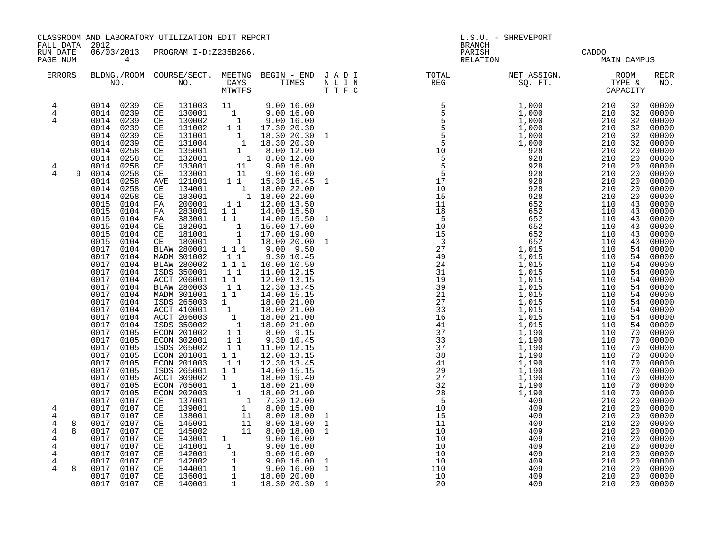|                                                      | CLASSROOM AND LABORATORY UTILIZATION EDIT REPORT<br>FALL DATA 2012                                                                  |                                                                                                                                                                                                                                                                                                                                   |                                    |                                                                                                                                                                                                                                                                            |                                   |                                                                                                                                                                                                                                                        | L.S.U. - SHREVEPORT                    |                                        |                                        |                                                                                                   |
|------------------------------------------------------|-------------------------------------------------------------------------------------------------------------------------------------|-----------------------------------------------------------------------------------------------------------------------------------------------------------------------------------------------------------------------------------------------------------------------------------------------------------------------------------|------------------------------------|----------------------------------------------------------------------------------------------------------------------------------------------------------------------------------------------------------------------------------------------------------------------------|-----------------------------------|--------------------------------------------------------------------------------------------------------------------------------------------------------------------------------------------------------------------------------------------------------|----------------------------------------|----------------------------------------|----------------------------------------|---------------------------------------------------------------------------------------------------|
| RUN DATE<br>PAGE NUM                                 | 06/03/2013<br>$\overline{4}$                                                                                                        | PROGRAM I-D:Z235B266.                                                                                                                                                                                                                                                                                                             |                                    |                                                                                                                                                                                                                                                                            |                                   | <b>BRANCH</b><br>PARISH<br>RELATION                                                                                                                                                                                                                    |                                        | CADDO<br>MAIN CAMPUS                   |                                        |                                                                                                   |
| <b>ERRORS</b>                                        |                                                                                                                                     |                                                                                                                                                                                                                                                                                                                                   |                                    |                                                                                                                                                                                                                                                                            |                                   |                                                                                                                                                                                                                                                        |                                        |                                        |                                        | <b>RECR</b><br>NO.                                                                                |
| $\overline{4}$<br>$\overline{4}$<br>4                | 0014<br>0239<br>0014<br>0239<br>0014<br>0239                                                                                        | $\begin{array}{cccccc} 0014 & 0239 & \textrm{CE} & 131003 & 11 & 9.00\ 16.00 & 9239 & \textrm{CE} & 130001 & 1 & 9.00\ 16.00 & 9014 & 0239 & \textrm{CE} & 130002 & 1 & 9.00\ 16.00 & 16.00 & 1 & 9.00\ 16.00 & 16.00 & 1 & 9.00\ 16.00 & 16.00 & 16.00 & 16.00 & 16.00 \end{array}$<br>131002<br>CE<br>CE<br>131001<br>CE 131004 | $1\quad1$                          | 17.30 20.30                                                                                                                                                                                                                                                                |                                   |                                                                                                                                                                                                                                                        |                                        |                                        | 32<br>32                               | 32 00000<br>00000<br>32 00000<br>00000<br>$\frac{32}{32}$ 00000<br>32 00000                       |
| 4<br>$\overline{4}$<br>9                             | 0014<br>0258<br>0014<br>0258<br>0014<br>0258<br>0014<br>0258<br>0014<br>0258<br>0014<br>0258<br>0014<br>0258                        | 135001<br>CE<br>132001<br>CE<br>CE<br>133001<br>CE<br>133001<br>AVE 121001<br>CE 134001<br>CE 183001                                                                                                                                                                                                                              |                                    | $\begin{array}{rrrr} 1&1&1.30&20.30&1 \ 1&18.30&20.30&1 \ 1&8.30&20.30&1 \ 1&8.00&12.00 & \ 1&9.00&16.00 & \ 1&9.00&16.00 & \ 1&9.00&16.00 & \ \end{array}$<br>1 1 15.30 16.45<br>$\begin{bmatrix} 1 & 18.00 & 22.00 \\ 1 & 18.00 & 22.00 \end{bmatrix}$                   | 1                                 |                                                                                                                                                                                                                                                        |                                        |                                        | 20<br>20<br>20<br>20<br>20<br>20<br>20 | 00000<br>00000<br>00000<br>00000<br>00000<br>00000<br>00000                                       |
|                                                      | 0015<br>0104<br>0015<br>0104<br>0015<br>0104<br>0015<br>0104<br>0015<br>0104<br>0015 0104<br>0017 0104<br>0017<br>0104<br>0017 0104 | FA 200001<br>FA 283001 11<br>FA 383001<br>CE 182001<br>CE 181001<br>CE 180001<br>BLAW 280001 111<br>MADM 301002 11<br>BLAW 280002                                                                                                                                                                                                 | $1 1 1$                            | 1 1 12.00 13.50<br>14.00 15.50<br>$\begin{array}{rrrr} 1 & 1 & 14.00 & 15.50 \ 1 & 15.00 & 17.00 \ 1 & 17.00 & 19.00 \ 1 & 18.00 & 20.00 \end{array}$<br>$9.00$ $9.50$<br>9.30 10.45<br>10.00 10.50                                                                        | 1<br>1                            | REG 50. FT. TWEE 30. FT. TWEE 100 210 2210<br>5 5 1,000 210 210 2210<br>5 5 1,000 210 2210<br>5 1,000 210 2210<br>5 1,000 210 2210<br>1,000 210 2210<br>1,000 210 2210<br>1,000 210 2210<br>1,000 210 2210<br>2020 210<br>5 9 228 210<br>1,000 210<br> |                                        |                                        | 43<br>43<br>43<br>43<br>43<br>43       | 00000<br>00000<br>00000<br>00000<br>00000<br>00000<br>54 00000<br>54 00000<br>54 00000            |
|                                                      | 0017<br>0104<br>0017 0104<br>0017<br>0104<br>0017<br>0104<br>0017<br>0104<br>0017<br>0104<br>0017<br>0104<br>0017<br>0104           | ISDS 350001<br>ACCT 206001<br>BLAW 280003<br>MADM 301001<br>ISDS 265003<br>ACCT 410001<br>ACCT 206003<br>ISDS 350002                                                                                                                                                                                                              | 11<br>$1\quad1$<br>11<br>$1\quad1$ | 11.00 12.15<br>12.00 13.15<br>12.30 13.45<br>14.00 15.15<br>18.00 21.00<br>18.00 21.00<br>18.00 21.00<br>18.00 21.00                                                                                                                                                       |                                   |                                                                                                                                                                                                                                                        |                                        |                                        | 54<br>54<br>54                         | 00000<br>54 00000<br>54 00000<br>$54$ 00000<br>54 00000<br>00000<br>00000<br>54 00000<br>70 00000 |
|                                                      | 0017<br>0105<br>0017<br>0105<br>0017<br>0105<br>0017<br>0105<br>0017<br>0105<br>0017<br>0105<br>0017<br>0105<br>0017<br>0105        | ECON 201002<br>ECON 302001<br>ISDS 265002<br>ECON 201001<br>ECON 201003<br>ISDS 265001<br>ACCT 309002<br>ECON 705001                                                                                                                                                                                                              | $1\quad1$<br>11<br>11<br>1         | 8.00 9.15<br>9.30 10.45<br>11.00 12.15<br>12.00 13.15<br>12.30 13.45<br>14.00 15.15<br>18.00 19.40                                                                                                                                                                         |                                   |                                                                                                                                                                                                                                                        |                                        |                                        | 70<br>70<br>70<br>70<br>70<br>70       | 00000<br>70 00000<br>00000<br>00000<br>00000<br>00000                                             |
| 4<br>4<br>$\overline{4}$<br>8<br>$\overline{4}$<br>4 | 0017 0105<br>0017<br>0107<br>0017 0107<br>0017<br>0107<br>0017 0107<br>0017<br>0107<br>0017<br>0107                                 | ECON 202003<br>CE 137001<br>139001<br>$\mathbb{C}\mathbb{E}$<br>CE 138001<br>CE 145001<br>CE 145002<br>$\mathbb{C}\mathbb{E}$                                                                                                                                                                                                     |                                    | $\begin{array}{rrrr} 1 & 10.00 & 21.00 \ 1 & 18.00 & 21.00 \ 1 & 7.30 & 12.00 \ 1 & 8.00 & 15.00 \ 11 & 8.00 & 18.00 \ 11 & 8.00 & 18.00 \ 11 & 8.00 & 18.00 \ 11 & 8.00 & 18.00 \end{array}$                                                                              | 1<br>$\mathbf{1}$<br>$\mathbf{1}$ | 10                                                                                                                                                                                                                                                     | 409                                    | 210                                    | 70<br>20<br>20<br>20<br>20<br>20<br>20 | $00000$<br>$00000$<br>00000<br>$00000$<br>00000<br>00000<br>00000                                 |
| 4<br>4<br>$\overline{4}$<br>4<br>8                   | 0017<br>0107<br>0017<br>0107<br>0017<br>0107<br>0017<br>0107<br>0017<br>0107<br>0017 0107                                           | CE<br>CE 142001<br>CE 142002<br>CE 144001<br>$\mathbb{C}\mathbb{E}$<br>CE 140001                                                                                                                                                                                                                                                  |                                    | $143001$<br>$141001$<br>$141001$<br>$142001$<br>$142001$<br>$142002$<br>$144001$<br>$144001$<br>$14001$<br>$14001$<br>$140001$<br>$140001$<br>$140001$<br>$140001$<br>$140001$<br>$140001$<br>$140001$<br>$140001$<br>$140001$<br>$140001$<br>$140001$<br>$140001$<br>$14$ |                                   | 10<br>10<br>10<br>110<br>10<br>20                                                                                                                                                                                                                      | 409<br>409<br>409<br>409<br>409<br>409 | 210<br>210<br>210<br>210<br>210<br>210 | 20<br>20<br>20<br>20<br>20<br>20       | $00000$<br>$00000$<br>$00000$<br>00000<br>00000<br>00000<br>00000                                 |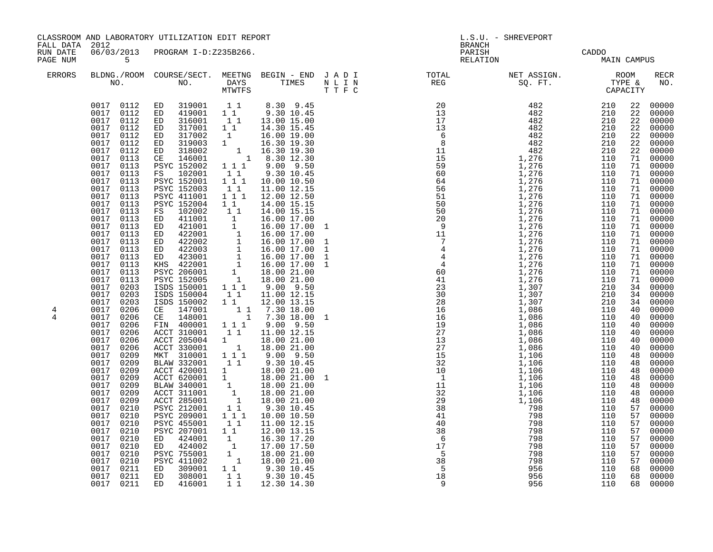| FALL DATA 2012       | CLASSROOM AND LABORATORY UTILIZATION EDIT REPORT                                                                                                                                                                                                                                                                                                                                                                                                                                                                                                                                                                                                                                                                                                            |                                                                                                                                                                                                                                                                                                                                                                                                                                                                                                                                                                                                                                                                                                                                                                                                                                                                                                                                                                                                                                                                                                                                                                                                                                                                                                                                                                                                                             |                                                                                                                           |                                                                                                                                                                                                                                                                                                                                                                                                                                                                                                                                                                                         |  | L.S.U. - SHREVEPORT<br><b>BRANCH</b>                                                                                                                                                                                                                                                                                                                                                                                   |                          |                          |                                                                                                                                                          |                                                                                                                                                                                                                                                                                                                                                                                                                                                                                                                                                                                                                                |
|----------------------|-------------------------------------------------------------------------------------------------------------------------------------------------------------------------------------------------------------------------------------------------------------------------------------------------------------------------------------------------------------------------------------------------------------------------------------------------------------------------------------------------------------------------------------------------------------------------------------------------------------------------------------------------------------------------------------------------------------------------------------------------------------|-----------------------------------------------------------------------------------------------------------------------------------------------------------------------------------------------------------------------------------------------------------------------------------------------------------------------------------------------------------------------------------------------------------------------------------------------------------------------------------------------------------------------------------------------------------------------------------------------------------------------------------------------------------------------------------------------------------------------------------------------------------------------------------------------------------------------------------------------------------------------------------------------------------------------------------------------------------------------------------------------------------------------------------------------------------------------------------------------------------------------------------------------------------------------------------------------------------------------------------------------------------------------------------------------------------------------------------------------------------------------------------------------------------------------------|---------------------------------------------------------------------------------------------------------------------------|-----------------------------------------------------------------------------------------------------------------------------------------------------------------------------------------------------------------------------------------------------------------------------------------------------------------------------------------------------------------------------------------------------------------------------------------------------------------------------------------------------------------------------------------------------------------------------------------|--|------------------------------------------------------------------------------------------------------------------------------------------------------------------------------------------------------------------------------------------------------------------------------------------------------------------------------------------------------------------------------------------------------------------------|--------------------------|--------------------------|----------------------------------------------------------------------------------------------------------------------------------------------------------|--------------------------------------------------------------------------------------------------------------------------------------------------------------------------------------------------------------------------------------------------------------------------------------------------------------------------------------------------------------------------------------------------------------------------------------------------------------------------------------------------------------------------------------------------------------------------------------------------------------------------------|
| RUN DATE<br>PAGE NUM | 06/03/2013<br>$5^{\circ}$                                                                                                                                                                                                                                                                                                                                                                                                                                                                                                                                                                                                                                                                                                                                   | PROGRAM I-D:Z235B266.                                                                                                                                                                                                                                                                                                                                                                                                                                                                                                                                                                                                                                                                                                                                                                                                                                                                                                                                                                                                                                                                                                                                                                                                                                                                                                                                                                                                       |                                                                                                                           |                                                                                                                                                                                                                                                                                                                                                                                                                                                                                                                                                                                         |  | PARISH<br>RELATION                                                                                                                                                                                                                                                                                                                                                                                                     |                          | CADDO<br>MAIN CAMPUS     |                                                                                                                                                          |                                                                                                                                                                                                                                                                                                                                                                                                                                                                                                                                                                                                                                |
| <b>ERRORS</b>        |                                                                                                                                                                                                                                                                                                                                                                                                                                                                                                                                                                                                                                                                                                                                                             |                                                                                                                                                                                                                                                                                                                                                                                                                                                                                                                                                                                                                                                                                                                                                                                                                                                                                                                                                                                                                                                                                                                                                                                                                                                                                                                                                                                                                             |                                                                                                                           |                                                                                                                                                                                                                                                                                                                                                                                                                                                                                                                                                                                         |  |                                                                                                                                                                                                                                                                                                                                                                                                                        |                          |                          |                                                                                                                                                          | <b>RECR</b><br>NO.                                                                                                                                                                                                                                                                                                                                                                                                                                                                                                                                                                                                             |
| 4<br>4               | 0017 0112<br>0017<br>0112<br>$\begin{array}{cc} 0017 & 0112 \\ 0017 & 0112 \end{array}$<br>0017<br>0017<br>0112<br>0017<br>0113<br>0017<br>0113<br>0017<br>0113<br>0017<br>0113<br>0017<br>0113<br>0017<br>0113<br>0017<br>0113<br>0017<br>0113<br>0017 0113<br>0017<br>0113<br>0017 0113<br>0017 0113<br>0017 0113<br>0017<br>0113<br>0017 0113<br>0017<br>0113<br>0017 0113<br>0017<br>0203<br>0017 0203<br>0017<br>0203<br>0017 0206<br>0017<br>0206<br>0017<br>0206<br>0017<br>0206<br>0017<br>0206<br>0017<br>0206<br>0017<br>0209<br>0017 0209<br>0017<br>0209<br>0017 0209<br>0017<br>0209<br>0017 0209<br>0017<br>0209<br>0017 0210<br>0017<br>0210<br>0017<br>0210<br>0017<br>0210<br>0017<br>0210<br>0017<br>0210<br>0017<br>0210<br>0017<br>0210 | $\begin{array}{cccccccc} 0017 & 0112 & \text{ED} & 319001 & 1 & 1 & 8.30 & 9.45 \\ 0017 & 0112 & \text{ED} & 419001 & 1 & 1 & 9.30 & 10.45 \end{array}$<br>ED 316001 1 1 13.00 15.00<br>ED 317001 1 1 14.30 15.45<br>ED 317002 1 16.00 19.00<br>ED 319003 1 16.30 19.30<br>ED 318002 1 16.30 19.30<br>CE 146001 1 8.30 12.30<br>PSYC 152002 1 1 1 9.00 9.50<br>FS 102001<br><b>PSYC 152001</b><br>PSYC 152003<br>PSYC 411001<br>PSYC 152004<br>FS 102002<br>$\begin{tabular}{cccc} r > & 102002 & 1 & 1 & 14.00 & 15.15 \\ \text{ED} & 411001 & 1 & 16.00 & 17.00 \\ \text{ED} & 421001 & 1 & 16.00 & 17.00 \\ \text{ED} & 422001 & 1 & 16.00 & 17.00 \\ \text{ED} & 422002 & 1 & 16.00 & 17.00 \\ \text{ED} & 422003 & 1 & 16.00 & 17.00 \\ \text{ED} & 423001 & 1 & 16.00 & 1$<br>ISDS 150004<br>ISDS 150002 1 1<br>CE 147001 1 1<br>CE 148001 1<br>FIN 400001<br>ACCT 310001<br>ACCT 205004<br>ACCT 330001<br>MKT 310001<br>BLAW 332001<br>BLAW 332001 1 1 9.30 10.45<br>ACCT 420001 1 18.00 21.00<br>BLAW 340001 1 18.00 21.00<br>ACCT 311001 1 18.00 21.00<br>ACCT 285001 1 18.00 21.00<br>PSYC 212001 1 1 9.30 10.45<br>PSYC 209001 1 1 1 10.00 10.50<br>PSYC 455001<br><b>PSYC 207001</b><br>424001<br>ED<br>ED 424002<br>PSYC 755001<br><b>PSYC 411002</b><br>0017 0211 ED 309001 1 1 9.30 10.45<br>0017 0211 ED 308001 1 1 9.30 10.45<br>0017 0211 ED 308001 1 1 9.30 10.45<br>0017 0211 ED 416001 1 1 12.30 14.30 | $\begin{smallmatrix}1&1\\1&1&1\end{smallmatrix}$<br>$1\quad1$<br>$1 1 1$<br>$1\quad1$<br>11<br>11<br>11<br>11<br>11<br>11 | 9.30 10.45<br>10.00 10.50<br>11.00 12.15<br>12.00 12.50<br>14.00 15.15<br>14.00 15.15<br>16.00 17.00 1<br>11.00 12.15<br>12.00 13.15<br>$\begin{bmatrix} 1 & 1 & 7.30 & 18.00 \\ 1 & 7.30 & 18.00 & 1 \end{bmatrix}$<br>$\begin{array}{cccc} 1 & 1 & 1 & 9 & 0 & 9 & 50 \\ 1 & 1 & 11 & 00 & 12 & 15 \end{array}$<br>$\begin{array}{rrrr} 1 & 18.00 & 21.00 \ 1 & 18.00 & 21.00 \ 1 & 1 & 9.00 & 9.50 \end{array}$<br>9.30 10.45<br>$11.00$ $12.15$<br>$12.00$ $13.15$<br>$\begin{bmatrix} 1 & 16.30 & 17.20 \ 1 & 17.00 & 17.50 \ 1 & 18.00 & 21.00 \ 1 & 18.00 & 21.00 \end{bmatrix}$ |  | $\begin{array}{cccccccc} \text{R-0.1,} & \text{R-0.2,} & \text{R-0.3,} \\ \text{R-0.1,} & \text{R-0.2,} & \text{R-0.3,} \\ \text{R-0.3,} & \text{R-0.4,} & \text{R-0.5,} \\ \text{R-0.4,} & \text{R-0.5,} \\ \text{R-0.6,} & \text{R-0.6,} \\ \text{R-0.6,} & \text{R-0.6,} \\ \text{R-0.6,} & \text{R-0.6,} \\ \text{R-0.6,} & \text{R-0.6,} \\ \text{$<br>$\overline{38}$<br>$\overline{5}$<br>$\frac{5}{18}$<br>- 9 | 798<br>956<br>956<br>956 | 110<br>110<br>110<br>110 | 22<br>22<br>71<br>71<br>71<br>71<br>40<br>40<br>40<br>40<br>40<br>40<br>48<br>48<br>48<br>48<br>48<br>57<br>57<br>57<br>57<br>57<br>57<br>57<br>57<br>68 | 22 00000<br>00000<br>22 00000<br>22 00000<br>22 00000<br>22 00000<br>00000<br>71 00000<br>71 00000<br>71 00000<br>00000<br>71 00000<br>$71$ 00000<br>$71$ 00000<br>00000<br>$\begin{array}{r} 71 & 00000 \\ 71 & 00000 \\ 71 & 00000 \\ 71 & 00000 \\ \end{array}$<br>00000<br>$71$ 00000<br>$71$ 00000<br>$71$ 00000<br>00000<br>71 00000<br>$34$ 00000<br>34 00000<br>34 00000<br>00000<br>00000<br>$00000$<br>$00000$<br>00000<br>00000<br>00000<br>00000<br>00000<br>00000<br>48 00000<br>48 00000<br>00000<br>00000<br>00000<br>$00000$<br>$00000$<br>00000<br>00000<br>$00000$<br>00000<br>00000<br>68 00000<br>68 00000 |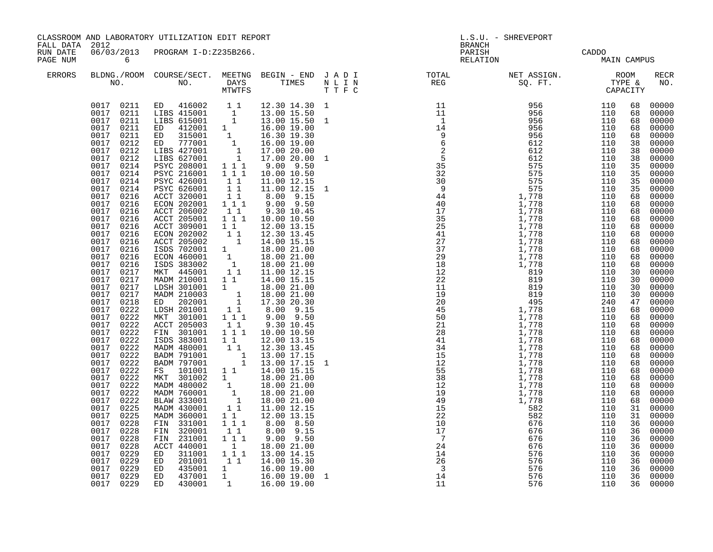|                                        |                                                                                                                                                                                                                                                                                                                                                                                                                                                                                                                                                                                                                                                                  | CLASSROOM AND LABORATORY UTILIZATION EDIT REPORT                                                                                                                                                                                                                                                                                                                                                                                                                                                                                                                                                                                                                                                                                                                                                                                                                                                                                                                                                                                                                                                                                                                                                                                                                                                                                                                   |                                                                                                                                                                                                                                                              |                                                                                                                                                                                                                                                                                                                                                                                                                                                                                                                 | L.S.U. - SHREVEPORT<br><b>BRANCH</b> |  |                                      |                                                                                                                                                                                                                |                                                                                                                                                                                                                                                                                                                                                                                                                                                                                                                                   |
|----------------------------------------|------------------------------------------------------------------------------------------------------------------------------------------------------------------------------------------------------------------------------------------------------------------------------------------------------------------------------------------------------------------------------------------------------------------------------------------------------------------------------------------------------------------------------------------------------------------------------------------------------------------------------------------------------------------|--------------------------------------------------------------------------------------------------------------------------------------------------------------------------------------------------------------------------------------------------------------------------------------------------------------------------------------------------------------------------------------------------------------------------------------------------------------------------------------------------------------------------------------------------------------------------------------------------------------------------------------------------------------------------------------------------------------------------------------------------------------------------------------------------------------------------------------------------------------------------------------------------------------------------------------------------------------------------------------------------------------------------------------------------------------------------------------------------------------------------------------------------------------------------------------------------------------------------------------------------------------------------------------------------------------------------------------------------------------------|--------------------------------------------------------------------------------------------------------------------------------------------------------------------------------------------------------------------------------------------------------------|-----------------------------------------------------------------------------------------------------------------------------------------------------------------------------------------------------------------------------------------------------------------------------------------------------------------------------------------------------------------------------------------------------------------------------------------------------------------------------------------------------------------|--------------------------------------|--|--------------------------------------|----------------------------------------------------------------------------------------------------------------------------------------------------------------------------------------------------------------|-----------------------------------------------------------------------------------------------------------------------------------------------------------------------------------------------------------------------------------------------------------------------------------------------------------------------------------------------------------------------------------------------------------------------------------------------------------------------------------------------------------------------------------|
| FALL DATA 2012<br>RUN DATE<br>PAGE NUM | $\overline{6}$                                                                                                                                                                                                                                                                                                                                                                                                                                                                                                                                                                                                                                                   | 06/03/2013 PROGRAM I-D:Z235B266.                                                                                                                                                                                                                                                                                                                                                                                                                                                                                                                                                                                                                                                                                                                                                                                                                                                                                                                                                                                                                                                                                                                                                                                                                                                                                                                                   |                                                                                                                                                                                                                                                              |                                                                                                                                                                                                                                                                                                                                                                                                                                                                                                                 |                                      |  | PARISH CADDO<br>RELATION MAIN CAMPUS |                                                                                                                                                                                                                |                                                                                                                                                                                                                                                                                                                                                                                                                                                                                                                                   |
| <b>ERRORS</b>                          |                                                                                                                                                                                                                                                                                                                                                                                                                                                                                                                                                                                                                                                                  |                                                                                                                                                                                                                                                                                                                                                                                                                                                                                                                                                                                                                                                                                                                                                                                                                                                                                                                                                                                                                                                                                                                                                                                                                                                                                                                                                                    |                                                                                                                                                                                                                                                              |                                                                                                                                                                                                                                                                                                                                                                                                                                                                                                                 |                                      |  |                                      |                                                                                                                                                                                                                | RECR<br>NO.                                                                                                                                                                                                                                                                                                                                                                                                                                                                                                                       |
|                                        | 0017 0214<br>0017<br>0214<br>0017 0214<br>0017<br>0214<br>0017 0216<br>0017 0216<br>0017<br>0216<br>0017<br>0216<br>0017<br>0216<br>0017<br>0216<br>0017<br>0216<br>0017<br>0216<br>0017<br>0216<br>0017 0216<br>0017<br>0217<br>0017 0217<br>0017 0217<br>0017 0217<br>0017 0218<br>0017 0222<br>0017<br>0222<br>0017 0222<br>0017 0222<br>0017 0222<br>0017<br>0222<br>0017 0222<br>0017 0222<br>0017 0222<br>0017 0222<br>0017 0222<br>0017<br>$0\overline{2}\overline{2}\overline{2}$<br>0017 0222<br>0017<br>0225<br>0017<br>0225<br>0017<br>0228<br>0017<br>0228<br>0017<br>0228<br>0017<br>0228<br>0017<br>0229<br>0017<br>0229<br>0017 0229<br>0017 0229 | $\begin{tabular}{cccc} 0017 & 0211 & ED & 416002 & 1 & 1 & 12.30 & 14.30 & 1 \\ 0017 & 0211 & LIBS & 415001 & 1 & 13.00 & 15.50 \\ 0017 & 0211 & LIBS & 615001 & 1 & 13.00 & 15.50 & 1 \\ 0017 & 0211 & ED & 412001 & 1 & 16.00 & 19.00 \\ 0017 & 0211 & ED & 315001 & 1 & 16.30 & 19.30 \\ 0017 &$<br>PSYC 208001 1 1 1<br>PSYC 216001 111<br>PSYC 426001<br>PSYC 626001<br>ACCT 320001<br>ECON 202001 1 1 1<br>ACCT 206002<br>ACCT 205001<br>ACCT 309001<br>ECON 202002<br>ECON 202002<br>ACCT 205002<br>1 12.00 15.45<br>13.00 15.15<br>ISDS 702001<br>1 18.00 21.00<br>ISDS 383002<br>1 18.00 21.00<br>MKT 445001<br>11 11.00 12.15<br>MKT 445001<br>11 11.00 12.15<br>MADM 210001 1 1<br>LDSH 301001<br>MADM 210003<br>ED 202001<br>LDSH 201001<br>MKT 301001<br>ACCT 205003<br>FIN 301001<br>ISDS 383001 11<br>MADM 480001 1<br>BADM 791001 1<br>BADM 797001 1<br>BADM 797001 1 13.00 17.15<br>FS 101001 1 1 14.00 15.15<br>MKT 301002 1 18.00 21.00<br>MADM 480002 1 18.00 21.00<br>MADM 760001 1 18.00 21.00<br>BLAW 333001 1 18.00 21.00<br>MADM 430001 1 11.00 12.15<br>MADM 360001<br>FIN 331001<br>FIN 320001<br>FIN 231001<br>ACCT 440001 1 18.00 21.00<br>ED 311001 1 1 1 13.00 14.15<br>ED 201001 11 14.00 15.30<br>ED 435001 1 16.00 19.00<br>ED 437001 1 16.00 19.00<br>ED 437001 1 16.00 19.00<br>ED 430001 1 16.00 19.00<br>0017 0229 ED 430001 | $\begin{array}{cc} 1 & 1 \\ 1 & 1 \end{array}$<br>11<br>$\begin{smallmatrix}1&1\\1&1&1\end{smallmatrix}$<br>$1\quad1$<br>$\begin{smallmatrix}&&1\\&&1\\1&1&1\end{smallmatrix}$<br>11<br>$1 \quad 1 \quad 1$<br>$1\quad1$<br>$1 1 1$<br>11<br>$1\overline{1}$ | $9.00$ $9.50$<br>10.00 10.50<br>11.00 12.15<br>11.00 12.15 1<br>8.00 9.15<br>9.00 9.50<br>9.30 10.45<br>10.00 10.50<br>12.00 13.15<br>14.00 15.15<br>$\begin{array}{rrrr} 1 & 18.00 & 21.00 \\ 1 & 18.00 & 21.00 \\ 1 & 17.30 & 20.30 \end{array}$<br>$8.00$ $9.15$<br>$9.00$ $9.50$<br>9.30 10.45<br>10.00 10.50<br>12.00 13.15<br>12.30 13.45<br>$\begin{array}{rrrr} 1 & 13.00 & 17.15 \\ 1 & 13.00 & 17.15 \\ \end{array}$ 1<br>12.00 13.15<br>8.00 8.50<br>$8.00$ $9.15$<br>$9.00$ $9.50$<br>16.00 19.00 1 |                                      |  |                                      | 68<br>68<br>68<br>38<br>38<br>35<br>35<br>35<br>35<br>68<br>68<br>68<br>68<br>68<br>68<br>30<br>30<br>30<br>30<br>47<br>68<br>68<br>68<br>68<br>31<br>31<br>36<br>36<br>36<br>36<br>36<br>36<br>36<br>36<br>36 | 00000<br>00000<br>68 00000<br>00000<br>68 00000<br>38 00000<br>00000<br>00000<br>00000<br>00000<br>00000<br>00000<br>68 00000<br>00000<br>00000<br>00000<br>68 00000<br>68 00000<br>00000<br>68 00000<br>$00000$<br>00000<br>00000<br>00000<br>$00000$<br>$00000$<br>00000<br>00000<br>68 00000<br>68 00000<br>00000<br>68 00000<br>$68$ 00000<br>68 00000<br>00000<br>68 00000<br>68 00000<br>68 00000<br>68 00000<br>00000<br>00000<br>00000<br>00000<br>00000<br>00000<br>$00000$<br>00000<br>00000<br>00000<br>00000<br>00000 |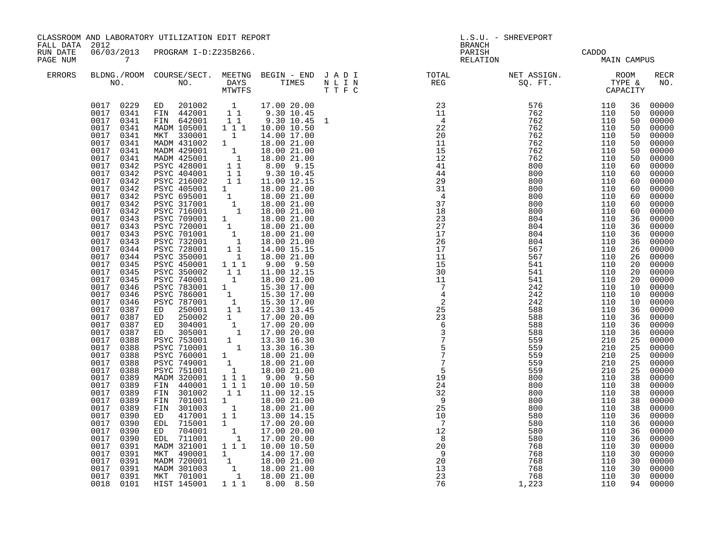| CLASSROOM AND LABORATORY UTILIZATION EDIT REPORT<br>L.S.U. - SHREVEPORT<br>FALL DATA<br>2012<br><b>BRANCH</b>                                                                                                                                                                                                                                                                                                                                                                                                                                                                                                                                                                                                                                                                                                                                                                                                                                                                                                                                                                                                                                                                                                                                                                                                                                                                                                                                                                                                                                                                                                                                                                                                                                                                                                                                                                                                                                                                                                                                                                                                                                                                                                                                                                                                                                                                                                                                                                                                                                                                                                                                                                                                                                                                                                                                                                                                                                                                                                                                                                                                                                                                                                                                                                                                                                                                                             |                                                             |                                                                                                                                                                                                                                                                                        |                                                                                                                                                                                                                                                                                                                                                                                                                                                                                                                       |
|-----------------------------------------------------------------------------------------------------------------------------------------------------------------------------------------------------------------------------------------------------------------------------------------------------------------------------------------------------------------------------------------------------------------------------------------------------------------------------------------------------------------------------------------------------------------------------------------------------------------------------------------------------------------------------------------------------------------------------------------------------------------------------------------------------------------------------------------------------------------------------------------------------------------------------------------------------------------------------------------------------------------------------------------------------------------------------------------------------------------------------------------------------------------------------------------------------------------------------------------------------------------------------------------------------------------------------------------------------------------------------------------------------------------------------------------------------------------------------------------------------------------------------------------------------------------------------------------------------------------------------------------------------------------------------------------------------------------------------------------------------------------------------------------------------------------------------------------------------------------------------------------------------------------------------------------------------------------------------------------------------------------------------------------------------------------------------------------------------------------------------------------------------------------------------------------------------------------------------------------------------------------------------------------------------------------------------------------------------------------------------------------------------------------------------------------------------------------------------------------------------------------------------------------------------------------------------------------------------------------------------------------------------------------------------------------------------------------------------------------------------------------------------------------------------------------------------------------------------------------------------------------------------------------------------------------------------------------------------------------------------------------------------------------------------------------------------------------------------------------------------------------------------------------------------------------------------------------------------------------------------------------------------------------------------------------------------------------------------------------------------------------------------------|-------------------------------------------------------------|----------------------------------------------------------------------------------------------------------------------------------------------------------------------------------------------------------------------------------------------------------------------------------------|-----------------------------------------------------------------------------------------------------------------------------------------------------------------------------------------------------------------------------------------------------------------------------------------------------------------------------------------------------------------------------------------------------------------------------------------------------------------------------------------------------------------------|
| 06/03/2013<br>RUN DATE<br>PROGRAM I-D:Z235B266.<br>CADDO<br>MAIN CAMPUS<br>$7\overline{ }$<br>PAGE NUM                                                                                                                                                                                                                                                                                                                                                                                                                                                                                                                                                                                                                                                                                                                                                                                                                                                                                                                                                                                                                                                                                                                                                                                                                                                                                                                                                                                                                                                                                                                                                                                                                                                                                                                                                                                                                                                                                                                                                                                                                                                                                                                                                                                                                                                                                                                                                                                                                                                                                                                                                                                                                                                                                                                                                                                                                                                                                                                                                                                                                                                                                                                                                                                                                                                                                                    |                                                             |                                                                                                                                                                                                                                                                                        |                                                                                                                                                                                                                                                                                                                                                                                                                                                                                                                       |
| $\begin{tabular}{lllllllllllllllllllll} \textsc{BLONG.} \textsc{F1} & \textsc{R1} & \textsc{R2} & \textsc{R3} & \textsc{R4} & \textsc{R5} & \textsc{R5} & \textsc{R6} & \textsc{R6} & \textsc{R6} & \textsc{R6} & \textsc{R6} & \textsc{R6} & \textsc{R6} & \textsc{R6} & \textsc{R6} & \textsc{R6} & \textsc{R6} & \textsc{R6} & \textsc{R6} & \textsc{R6} & \textsc{R6} & \textsc{R6} & \textsc{R6} & \text$<br><b>ERRORS</b>                                                                                                                                                                                                                                                                                                                                                                                                                                                                                                                                                                                                                                                                                                                                                                                                                                                                                                                                                                                                                                                                                                                                                                                                                                                                                                                                                                                                                                                                                                                                                                                                                                                                                                                                                                                                                                                                                                                                                                                                                                                                                                                                                                                                                                                                                                                                                                                                                                                                                                                                                                                                                                                                                                                                                                                                                                                                                                                                                                           |                                                             |                                                                                                                                                                                                                                                                                        | RECR<br>NO.                                                                                                                                                                                                                                                                                                                                                                                                                                                                                                           |
| $\begin{tabular}{c c c} & $\mathbf{p}_{\text{R}}$ & $\mathbf{p}_{\text{R}}$ & $\mathbf{p}_{\text{R}}$ & $\mathbf{p}_{\text{R}}$ & $\mathbf{p}_{\text{R}}$ & $\mathbf{p}_{\text{R}}$ & $\mathbf{p}_{\text{R}}$ & $\mathbf{p}_{\text{R}}$ & $\mathbf{p}_{\text{R}}$ & $\mathbf{p}_{\text{R}}$ & $\mathbf{p}_{\text{R}}$ & $\mathbf{p}_{\text{R}}$ & $\mathbf{p}_{\text{R}}$ \\ & $\mathbf{p}_{\text{R}}$ & $\mathbf{p}_{\text{R}}$ & $\mathbf{p}_{\text{R}}$<br>$\begin{array}{cccccc} 0017 & 0229 & \text{ED} & 201002 & 1 & 17.00 & 20.00 \\ 0017 & 0341 & \text{FIN} & 442001 & 1 & 9.30 & 10.45 \\ 0017 & 0341 & \text{FIN} & 642001 & 1 & 9.30 & 10.45 \end{array}$<br>MADM 105001 1 1 1<br>0017 0341<br>0017 0341<br>MKT 330001 1 14.00 17.00<br>MADM 431002 1 18.00 21.00<br>MADM 429001 1 18.00 21.00<br>MADM 425001 1 18.00 21.00<br>PSYC 428001 1 8.00 9.15<br>0017<br>0341<br>0017<br>0341<br>0017<br>0341<br>0017 0342<br>PSYC 428001 1 1 8.00 9.15<br>PSYC 404001 1 1 9.30 10.45<br>PSYC 216002 1 1 11.00 12.15<br>PSYC 695001 1 18.00 21.00<br>PSYC 595001 1 18.00 21.00<br>PSYC 716001 1 18.00 21.00<br>PSYC 709001 1 18.00 21.00<br>PSYC 709001 1 18.00 21.00<br>PSY<br>0017<br>0342<br>0017 0342<br>0017<br>0342<br>0017 0342<br>0017<br>0342<br>0017 0342<br>0017<br>0343<br>0017 0343<br>0017<br>0343<br>0017 0343<br>0017<br>0344<br>0017<br>PSYC 350001<br>$\begin{array}{c} \begin{array}{c} 1 \\ 1 \end{array} \end{array}$<br>0344<br>0017<br><b>PSYC 450001</b><br>0345<br>0017<br>PSYC 350002<br>11<br>0345<br><b>PSYC 740001</b><br>0017<br>0345<br>1<br>PSYC 783001 1 15.30 17.00<br>PSYC 786001 1 15.30 17.00<br>PSYC 786001 1 15.30 17.00<br>ED 250001 1 12.30 13.45<br>ED 250002 1 17.00 20.00<br>ED 304001 1 17.00 20.00<br>ED 305001 1 17.00 20.00<br>PSYC 753001 1 13.30 16.30<br>PSYC 760001 1<br>0017<br>0346<br>0017<br>0346<br>0017<br>0346<br>0017 0387<br>0017<br>0387<br>0017 0387<br>0017<br>0387<br>0017 0388<br>0017<br>0388<br>PSYC 760001 1 13.30 16.30<br>PSYC 760001 1 18.00 21.00<br>PSYC 749001 1 18.00 21.00<br>PSYC 751001 1 18.00 21.00<br>MADM 320001 1 1 1 9.00 9.50<br>FIN 440001 1 1 1 10.00 10.50<br>0017 0388<br>0017<br>0388<br>0017<br>0388<br>0017<br>0389<br>0017 0389<br>0017<br>$1\quad1$<br>0389<br>FIN 301002<br>0017<br>FIN 701001<br>$\begin{bmatrix} 1 \\ 1 \\ 1 \end{bmatrix}$<br>0389<br>0017<br>FIN 301003<br>0389<br>0017<br>417001<br>0390<br>ED<br>$\begin{array}{cccc} 1 & 17.00 & 20.00 \ 1 & 17.00 & 20.00 \ 1 & 17.00 & 20.00 \end{array}$<br>0017<br>EDL 715001<br>$\overline{7}$<br>580<br>0390<br>$12^{'}$<br>0017<br>0390<br>704001<br>580<br>ED<br>0017<br>EDL 711001<br>8<br>580<br>0390<br>$\frac{1}{20}$<br>MADM 321001 1 1 1 10.00 10.50<br>0017<br>0391<br>$\begin{array}{l} 200 \\ 768 \\ 768 \\ 768 \\ 768 \\ 76 \\ 26 \end{array}$<br>0017<br>0391<br>MKT 490001<br>$\begin{bmatrix} 1 & 1 & 1 & 1 & 0 & 17 & 0 & 0 \\ 1 & 1 & 14 & 0 & 0 & 17 & 0 & 0 \\ 1 & 1 & 18 & 0 & 0 & 21 & 0 & 0 \\ 1 & 1 & 18 & 0 & 0 & 21 & 0 & 0 \\ 1 & 0 & 0 & 0 & 0 & 0 & 0 & 0 \\ 0 & 0 & 0 & 0 & 0 & 0 & 0 & 0 \\ 0 & 0 & 0 & 0 & 0 & 0 & 0 & 0 \\ 0 & 0 & 0 & 0 & 0 & 0 & 0 & 0 \\ 0 & 0 & 0 & 0 & 0 &$<br>9<br>$\begin{array}{c}\n 20 \\  13\n \end{array}$<br>0017<br>MADM 720001<br>0391<br>MADM 301003<br>0017 0391<br>23<br>768<br>0017 0391<br>MKT 701001<br>1 1 1 8.00 8.50<br>0018 0101<br>HIST 145001<br>76<br>1,223 | 110<br>110<br>110<br>110<br>110<br>110<br>110<br>110<br>110 | 36<br>50<br>50<br>50<br>50<br>50<br>50<br>50<br>60<br>60<br>60<br>36<br>36<br>36<br>36<br>26<br>26<br>20<br>20<br>20<br>10<br>10<br>10<br>36<br>36<br>36<br>36<br>25<br>25<br>25<br>25<br>25<br>38<br>38<br>38<br>38<br>38<br>36<br>36<br>36<br>36<br>30<br>30<br>30<br>30<br>30<br>94 | 00000<br>00000<br>00000<br>00000<br>00000<br>00000<br>00000<br>$00000$<br>$00000$<br>00000<br>$60 00000$<br>$60 00000$<br>$60 00000$<br>$60 00000$<br>$00000$<br>$00000$<br>$00000$<br>00000<br>00000<br>00000<br>$00000$<br>00000<br>00000<br>00000<br>$00000$<br>$00000$<br>00000<br>00000<br>00000<br>00000<br>00000<br>00000<br>$00000$<br>00000<br>00000<br>00000<br>00000<br>$00000$<br>00000<br>00000<br>00000<br>00000<br>00000<br>00000<br>00000<br>$00000$<br>00000<br>$00000$<br>$00000$<br>00000<br>00000 |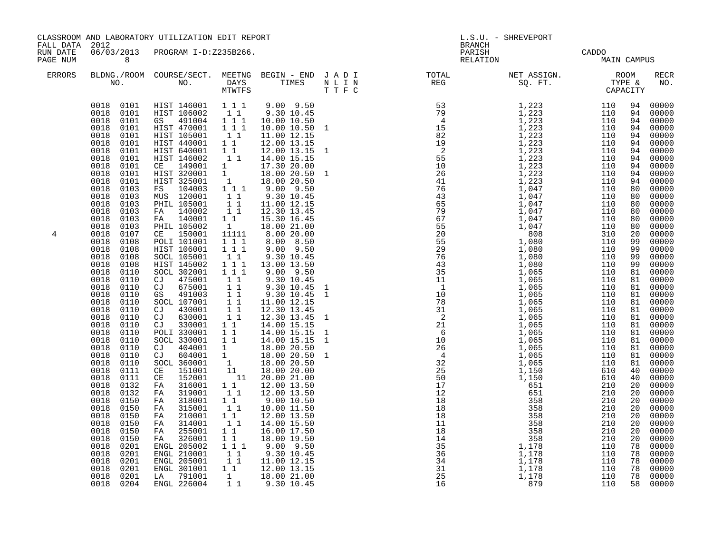| FALL DATA 2012       |                                                                                                                                                                                                                                                                                                                                                                                                                                                                                                                                                                                                                                                                                                                                                           | CLASSROOM AND LABORATORY UTILIZATION EDIT REPORT                                                                                                                                                                                                                                                                                                                                                                                                                                                                                                                                                                                                                                                                                                                                    |                                                                                                                                                                                                                                                                                                                                                                                                                                                                                                                                                                                                                                                                                                                                                                                                                                                                                                                                                                                                                                                                                                                                                                                                                                                                                                                                                                                                                                                                                                                                                                        | L.S.U. - SHREVEPORT<br><b>BRANCH</b> |  |                                      |  |                                                                                                                                                                                                                                                                                                                                                                                                                                                                                                                                                                                                                                                                                                                                                                                                                                                         |  |
|----------------------|-----------------------------------------------------------------------------------------------------------------------------------------------------------------------------------------------------------------------------------------------------------------------------------------------------------------------------------------------------------------------------------------------------------------------------------------------------------------------------------------------------------------------------------------------------------------------------------------------------------------------------------------------------------------------------------------------------------------------------------------------------------|-------------------------------------------------------------------------------------------------------------------------------------------------------------------------------------------------------------------------------------------------------------------------------------------------------------------------------------------------------------------------------------------------------------------------------------------------------------------------------------------------------------------------------------------------------------------------------------------------------------------------------------------------------------------------------------------------------------------------------------------------------------------------------------|------------------------------------------------------------------------------------------------------------------------------------------------------------------------------------------------------------------------------------------------------------------------------------------------------------------------------------------------------------------------------------------------------------------------------------------------------------------------------------------------------------------------------------------------------------------------------------------------------------------------------------------------------------------------------------------------------------------------------------------------------------------------------------------------------------------------------------------------------------------------------------------------------------------------------------------------------------------------------------------------------------------------------------------------------------------------------------------------------------------------------------------------------------------------------------------------------------------------------------------------------------------------------------------------------------------------------------------------------------------------------------------------------------------------------------------------------------------------------------------------------------------------------------------------------------------------|--------------------------------------|--|--------------------------------------|--|---------------------------------------------------------------------------------------------------------------------------------------------------------------------------------------------------------------------------------------------------------------------------------------------------------------------------------------------------------------------------------------------------------------------------------------------------------------------------------------------------------------------------------------------------------------------------------------------------------------------------------------------------------------------------------------------------------------------------------------------------------------------------------------------------------------------------------------------------------|--|
| RUN DATE<br>PAGE NUM | 8 <sup>8</sup>                                                                                                                                                                                                                                                                                                                                                                                                                                                                                                                                                                                                                                                                                                                                            | 06/03/2013 PROGRAM I-D:Z235B266.                                                                                                                                                                                                                                                                                                                                                                                                                                                                                                                                                                                                                                                                                                                                                    |                                                                                                                                                                                                                                                                                                                                                                                                                                                                                                                                                                                                                                                                                                                                                                                                                                                                                                                                                                                                                                                                                                                                                                                                                                                                                                                                                                                                                                                                                                                                                                        |                                      |  | PARISH CADDO<br>RELATION MAIN CAMPUS |  |                                                                                                                                                                                                                                                                                                                                                                                                                                                                                                                                                                                                                                                                                                                                                                                                                                                         |  |
| <b>ERRORS</b>        |                                                                                                                                                                                                                                                                                                                                                                                                                                                                                                                                                                                                                                                                                                                                                           |                                                                                                                                                                                                                                                                                                                                                                                                                                                                                                                                                                                                                                                                                                                                                                                     |                                                                                                                                                                                                                                                                                                                                                                                                                                                                                                                                                                                                                                                                                                                                                                                                                                                                                                                                                                                                                                                                                                                                                                                                                                                                                                                                                                                                                                                                                                                                                                        |                                      |  |                                      |  | <b>RECR</b><br>NO.                                                                                                                                                                                                                                                                                                                                                                                                                                                                                                                                                                                                                                                                                                                                                                                                                                      |  |
| 4                    | 0018 0101<br>0018<br>0101<br>0018<br>0101<br>0018<br>0101<br>0018<br>0101<br>0018<br>0101<br>0018<br>0101<br>0018<br>0103<br>0018<br>0103<br>0018<br>0103<br>0018<br>0103<br>0103<br>0018<br>0018<br>0103<br>0018<br>0107<br>0018<br>0108<br>0018<br>0108<br>0018<br>0108<br>0018<br>0108<br>0018<br>0110<br>0018<br>0110<br>0018<br>0110<br>0018<br>0110<br>0018<br>0110<br>0018<br>0110<br>0018<br>0110<br>0018<br>0110<br>0018<br>0110<br>0018<br>0110<br>0018<br>0110<br>0018<br>0110<br>0018<br>0110<br>0018<br>0111<br>0018<br>0111<br>0018<br>0132<br>0018<br>0132<br>0018<br>0150<br>0018<br>0150<br>0018<br>0150<br>0018<br>0150<br>0018<br>0150<br>0018<br>0150<br>0018<br>0201<br>0018<br>0201<br>0018<br>0201<br>0018<br>0201<br>0018<br>0201 | 0018 0101 HIST 146001 1 1 1<br>0018 0101 HIST 106002 1 1<br>0018 0101 GS 491004 1 1 1<br>0018 0101 HIST 470001 1 1 1<br>HIST 105001 11<br>HIST 440001 11<br>HIST 640001 11<br>HIST 146002 11<br>HIST 146002<br>CE 149001<br>HIST 320001<br>HIST 325001<br>FS 104003<br>MUS 120001<br>PHIL 105001<br>FA 140002<br>FA 140001<br>PHIL 105002<br>CE 150001<br>POLI 101001<br>HIST 106001<br>SOCL 105001<br>HIST 145002<br>SOCL 302001<br>CJ 475001<br>CJ 675001<br>GS 491003<br>SOCL 107001<br>CJ 430001<br>CJ 630001<br>CJ 330001 11<br>POLI 330001 11<br>SOCL 330001 1 1<br>FA 316001<br>FA 319001<br>FA 318001<br>FA 315001<br>FA 210001<br>FA 314001<br>FA 255001<br>326001<br>FA<br>ENGL 205002<br>ENGL 210001<br>ENGL 205001<br>ENGL 301001<br>LA 791001<br>0018 0204 ENGL 226004 | $9.00$ $9.50$<br>9.30 10.45<br>10.00 10.50<br>10.00 10.50 1<br>11.00 12.15<br>12.00 13.15<br>12.00 13.15<br>14.00 15.15<br>17.30 20.00<br>$\begin{bmatrix} 1 \\ 1 \\ 1 \\ 1 \\ 1 \end{bmatrix}$<br>18.00 20.50<br>18.00 20.50<br>9.00 9.50<br>$\begin{array}{cccc}\n & 1 & 1 \\  & & 1 & 1 \\  & & 1 & 1 \\  & & 1 & 1 \\  & & 1 & 1\n\end{array}$<br>9.30 10.45<br>11.00 12.15<br>12.30 13.45<br>15.30 16.45<br>18.00 21.00<br>$\mathbf{1}$<br>8.00 20.00<br>11111<br>$1\overline{1}\overline{1}$<br>8.00 8.50<br>$\frac{1}{1}$ $\frac{1}{1}$<br>$9.00$ $9.50$<br>9.30 10.45<br>$1\quad1$<br>$1 1 1$<br>13.00 13.50<br>$1\ 1\ 1$<br>$9.00$ $9.50$<br>$1^{-}1^{-}$<br>9.30 10.45<br>$\begin{array}{c} 1 \\ 1 \\ 1 \\ 1 \\ 1 \end{array}$<br>9.30 10.45<br>9.30 10.45<br>11.00 12.15<br>$\begin{array}{cc} 1 & 1 \\ 1 & 1 \end{array}$<br>12.30 13.45<br>12.30 13.45 1<br>14.00 15.15<br>14.00 15.15<br>14.00 15.15<br>CJ 404001 1 18.00 20.50<br>CJ 604001 1 18.00 20.50<br>SOCL 360001 1 18.00 20.50<br>CE 151001 11 18.00 20.00<br>CE 152001 11 20.00 21.00<br>T1 20.00 21.50<br>$\begin{smallmatrix}1&&1\\&1\\1&&1\end{smallmatrix}$<br>12.00 13.50<br>12.00 13.50<br>$\begin{smallmatrix}1&&1\\&1\\1&&1\end{smallmatrix}$<br>9.00 10.50<br>10.00 11.50<br>11<br>12.00 13.50<br>$\begin{bmatrix} 1 \\ 1 \end{bmatrix}$<br>14.00 15.50<br>$1\quad1$<br>16.00 17.50<br>11<br>18.00 19.50<br>$1\ 1\ 1$<br>$9.00$ $9.50$<br>9.30 10.45<br>11<br>$\begin{array}{rrrr} & 1 & 1 & 1.00 & 12.15 \\ 1 & 1 & 12.00 & 13.15 \end{array}$<br>1<br>18.00 21.00<br>1 1 9.30 10.45 |                                      |  |                                      |  | 00000<br>94<br>94<br>00000<br>94 00000<br>00000<br>94<br>94 00000<br>00000<br>94<br>94 00000<br>94 00000<br>94 00000<br>00000<br>94<br>$00000$<br>00000<br>94<br>80<br>$8000000$<br>$8000000$<br>$00000$<br>00000<br>00000<br>00000<br>80<br>80<br>80<br>20<br>00000<br>99<br>00000<br>99<br>$00000$<br>00000<br>99<br>99<br>00000<br>81<br>00000<br>81<br>$81 00000$<br>$81 00000$<br>00000<br>81<br>00000<br>81<br>$00000$<br>00000<br>81<br>81<br>00000<br>81<br>$\begin{array}{r} 81 & 00000 \\ 81 & 00000 \\ 81 & 00000 \\ 81 & 00000 \\ 81 & 00000 \end{array}$<br>$\begin{bmatrix} 40 & 00000 \\ 40 & 00000 \end{bmatrix}$<br>$00000$<br>00000<br>20<br>20<br>00000<br>20<br>00000<br>20<br>00000<br>20<br>00000<br>20<br>00000<br>20<br>00000<br>20<br>$00000$<br>00000<br>78<br>78<br>00000<br>78<br>00000<br>78<br>00000<br>78<br>00000<br>58 |  |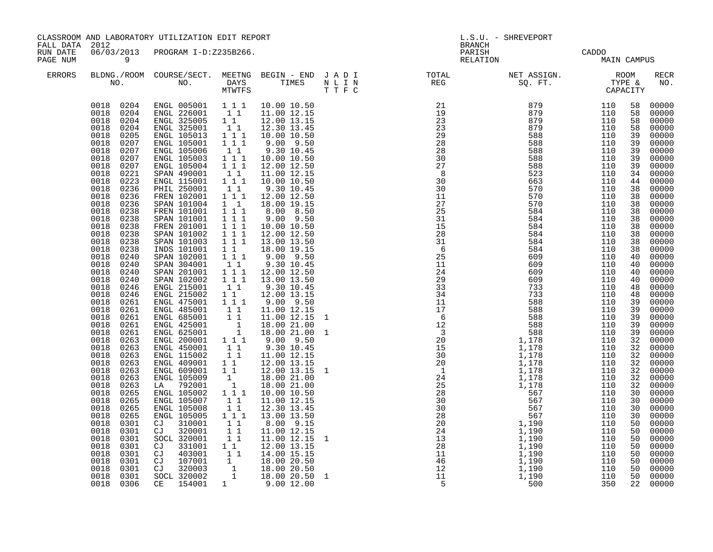|                                        |                                                                                                                                                                                                                                                                                                                                                                                                                                                                                                                                                                                                                                                                                                                                                                           | CLASSROOM AND LABORATORY UTILIZATION EDIT REPORT                                                                                                                                                                                                                                                                                                                                                                                                                                                                                                                                                                                                                                                                                                                                                                                                                                                                                                                                                                                                                                                                                                                                                                                                                                                                                                                                                                |                                                                                                                                                                                                                                                                                                 |                                                                                                                                                                                                                                                                                                                                                                                                                                                                                                                                                                                            |                        | L.S.U. - SHREVEPORT<br><b>BRANCH</b>                                                                                                                                                                                                                                                                                                                                                                                                                                                                                                                                                                                                                            |                                                                                         |                                                                                                                                                                                                                                                   |                                                                                                                                                                                                          |                                                                                                                                                                                                                                                                                                                                                                                                                                                                                                                                                                                                               |
|----------------------------------------|---------------------------------------------------------------------------------------------------------------------------------------------------------------------------------------------------------------------------------------------------------------------------------------------------------------------------------------------------------------------------------------------------------------------------------------------------------------------------------------------------------------------------------------------------------------------------------------------------------------------------------------------------------------------------------------------------------------------------------------------------------------------------|-----------------------------------------------------------------------------------------------------------------------------------------------------------------------------------------------------------------------------------------------------------------------------------------------------------------------------------------------------------------------------------------------------------------------------------------------------------------------------------------------------------------------------------------------------------------------------------------------------------------------------------------------------------------------------------------------------------------------------------------------------------------------------------------------------------------------------------------------------------------------------------------------------------------------------------------------------------------------------------------------------------------------------------------------------------------------------------------------------------------------------------------------------------------------------------------------------------------------------------------------------------------------------------------------------------------------------------------------------------------------------------------------------------------|-------------------------------------------------------------------------------------------------------------------------------------------------------------------------------------------------------------------------------------------------------------------------------------------------|--------------------------------------------------------------------------------------------------------------------------------------------------------------------------------------------------------------------------------------------------------------------------------------------------------------------------------------------------------------------------------------------------------------------------------------------------------------------------------------------------------------------------------------------------------------------------------------------|------------------------|-----------------------------------------------------------------------------------------------------------------------------------------------------------------------------------------------------------------------------------------------------------------------------------------------------------------------------------------------------------------------------------------------------------------------------------------------------------------------------------------------------------------------------------------------------------------------------------------------------------------------------------------------------------------|-----------------------------------------------------------------------------------------|---------------------------------------------------------------------------------------------------------------------------------------------------------------------------------------------------------------------------------------------------|----------------------------------------------------------------------------------------------------------------------------------------------------------------------------------------------------------|---------------------------------------------------------------------------------------------------------------------------------------------------------------------------------------------------------------------------------------------------------------------------------------------------------------------------------------------------------------------------------------------------------------------------------------------------------------------------------------------------------------------------------------------------------------------------------------------------------------|
| FALL DATA 2012<br>RUN DATE<br>PAGE NUM | $\overline{9}$                                                                                                                                                                                                                                                                                                                                                                                                                                                                                                                                                                                                                                                                                                                                                            | 06/03/2013 PROGRAM I-D:Z235B266.                                                                                                                                                                                                                                                                                                                                                                                                                                                                                                                                                                                                                                                                                                                                                                                                                                                                                                                                                                                                                                                                                                                                                                                                                                                                                                                                                                                |                                                                                                                                                                                                                                                                                                 |                                                                                                                                                                                                                                                                                                                                                                                                                                                                                                                                                                                            |                        | PARISH<br>RELATION                                                                                                                                                                                                                                                                                                                                                                                                                                                                                                                                                                                                                                              |                                                                                         | CADDO<br>MAIN CAMPUS                                                                                                                                                                                                                              |                                                                                                                                                                                                          |                                                                                                                                                                                                                                                                                                                                                                                                                                                                                                                                                                                                               |
| <b>ERRORS</b>                          |                                                                                                                                                                                                                                                                                                                                                                                                                                                                                                                                                                                                                                                                                                                                                                           |                                                                                                                                                                                                                                                                                                                                                                                                                                                                                                                                                                                                                                                                                                                                                                                                                                                                                                                                                                                                                                                                                                                                                                                                                                                                                                                                                                                                                 |                                                                                                                                                                                                                                                                                                 |                                                                                                                                                                                                                                                                                                                                                                                                                                                                                                                                                                                            |                        | $\begin{array}{cccccccccccccc} \texttt{BLDNA} \cdot \texttt{ROOM} & \texttt{COURSE/SECT.} & \texttt{MEETNG} & \texttt{BEGIN} & - & \texttt{END} & \texttt{J} & \texttt{A} & \texttt{D} & \texttt{I} & & & & & & & & & \\ \texttt{NO.} & \texttt{NO.} & \texttt{DAYS} & \texttt{TIMES} & \texttt{N} & \texttt{L} & \texttt{I} & \texttt{N} & & & & & & & & \\ \texttt{NO.} & \texttt{NO.} & \texttt{MTVTFS} & \texttt{T'F} & \texttt{C} & & & & & & &$                                                                                                                                                                                                           |                                                                                         |                                                                                                                                                                                                                                                   |                                                                                                                                                                                                          | <b>RECR</b><br>NO.                                                                                                                                                                                                                                                                                                                                                                                                                                                                                                                                                                                            |
|                                        | 0018<br>0205<br>0018<br>0207<br>0018<br>0207<br>0018<br>0207<br>0018<br>0207<br>0018<br>0221<br>0018<br>0223<br>0018<br>0236<br>0018<br>0236<br>0018<br>0236<br>0018<br>0238<br>0018<br>0238<br>0018<br>0238<br>0018<br>0238<br>0018<br>0238<br>0018<br>0238<br>0018<br>0240<br>0018<br>0240<br>0018<br>0240<br>0018<br>0240<br>0018<br>0246<br>0018<br>0246<br>0018<br>0261<br>0018<br>0261<br>0018<br>0261<br>0018<br>0261<br>0018<br>0261<br>0018<br>0263<br>0018<br>0263<br>0018<br>0263<br>0018<br>0263<br>0018<br>0263<br>0018<br>0263<br>0018<br>0263<br>0018<br>0265<br>0018<br>0265<br>0018<br>0265<br>0018<br>0265<br>0018<br>0301<br>0018<br>0301<br>0018<br>0301<br>0018<br>0301<br>0018<br>0301<br>0018<br>0301<br>0018<br>0301<br>0018<br>0301<br>0018 0306 | $\begin{array}{cccccc} 0018 & 0204 & \text{ENGL} & 005001 & 1 & 1 & 1 & 10.00 & 10.50 \\ 0018 & 0204 & \text{ENGL} & 226001 & 1 & 1 & 11.00 & 12.15 \\ 0018 & 0204 & \text{ENGL} & 325005 & 1 & 1 & 12.00 & 13.15 \\ 0018 & 0204 & \text{ENGL} & 325001 & 1 & 1 & 12.30 & 13.45 \end{array}$<br>ENGL 105013<br>ENGL 105001<br>ENGL 105006<br>ENGL 105003<br>ENGL 105004<br>ENGL 115001 11<br>ENGL 115001 111<br>PHIL 250001 111<br>FREN 100001 11<br>FREN 102001 1 1 1 12.00 12.50<br>SPAN 101004 1 1<br>FREN 101001 1 1 1<br>SPAN 101001 1 1 1<br>FREN 201001<br>SPAN 101002 1 1 1 12.00 12.50<br>SPAN 101003 1 1 1 13.00 13.50<br>TNDS 101001 1 1 18.00 19.15<br>SPAN 102001 1 1 1 9.00 9.50<br>SPAN 304001 11<br>SPAN 201001 111<br>SPAN 102002 111<br>ENGL 215001 11<br>ENGL 215002 1 1<br>ENGL 475001 1 1 1<br>ENGL 485001 1 1<br>ENGL 685001 1 1<br>ENGL 425001<br>ENGL 625001<br>ENGL 200001 1 1 1<br>ENGL 450001 1 1<br>ENGL 115002<br>ENGL 409001 1 1 12.00 13.15<br>ENGL 609001 1 1 12.00 13.15<br>ENGL 105009 1 18.00 21.00<br>LA 792001<br>ENGL 105002<br>ENGL 105007<br>ENGL 105008<br>ENGL 105005<br>CJ 310001<br>CJ 320001<br>SOCL 320001<br>CJ 331001<br>$\begin{array}{ccccccc} \text{CJ} & 403001 & 1 & 14.00 & 15.15 \ \text{CJ} & 107001 & 1 & 18.00 & 20.50 \ \text{CJ} & 320003 & 1 & 18.00 & 20.50 \ \text{SOCL} & 320002 & 1 & 18.00 & 20.50 & 1 \end{array}$<br>CE 154001 1 9.00 12.00 | $\begin{array}{rrrr} & & 1 & 1 \\ & 1 & 1 & 1 \\ & 1 & 1 & 1 \end{array}$<br>$1 1 1$<br>$\frac{1}{1}$<br>11<br>$\begin{bmatrix} 1 \\ 1 \\ 1 \end{bmatrix}$<br>11<br>$\begin{array}{c} \bar{1} & \bar{1} \\ 1 & 1 & 1 \end{array}$<br>$\begin{bmatrix} 1 & 1 \\ 1 & 1 \end{bmatrix}$<br>11<br>11 | $\begin{array}{cccc} 1 & 1 & 1 & 10.00 & 10.50 \\ 1 & 1 & 1 & 9.00 & 9.50 \end{array}$<br>9.30 10.45<br>10.00 10.50<br>12.00 12.50<br>11.00 12.15<br>10.00 10.50<br>9.30 10.45<br>18.00 19.15<br>8.00 8.50<br>9.00 9.50<br>10.00 10.50<br>9.00 9.50<br>9.30 10.45<br>12.00 12.50<br>13.00 13.50<br>9.30 10.45<br>12.00 13.15<br>9.00 9.50<br>11.00 12.15<br>11.00 12.15 1<br>18.00 21.00<br>18.00 21.00<br>$9.00$ $9.50$<br>9.30 10.45<br>11.00 12.15<br>18.00 21.00<br>10.00 10.50<br>11.00 12.15<br>12.30 13.45<br>13.00 13.50<br>8.00 9.15<br>11.00 12.15<br>11.00 12.15<br>12.00 13.15 | $\mathbf{1}$<br>1<br>1 | $\begin{array}{cccc} 21 & 879 & 110 \ 19 & 879 & 110 \ 23 & 879 & 110 \ 23 & 879 & 110 \ 23 & 879 & 110 \ 28 & 588 & 110 \ 28 & 588 & 110 \ 28 & 588 & 110 \ 27 & 588 & 110 \ 27 & 588 & 110 \ 30 & 663 & 110 \ 30 & 663 & 110 \ 11 & 570 & 110 \ 27 & 570 & 110 \ 27 & 570 & 110 \ 25$<br>$\begin{array}{c} 31 \\ 15 \\ 28 \\ 31 \end{array}$<br>$\begin{array}{cccc} 158 & 1584 \\ 284 & 684 \\ 25 & 699 \\ 24 & 609 \\ 29 & 29 \\ 33 & 34 \\ 17 & 733 \\ 14 & 733 \\ 17 & 733 \\ 18 & 609 \\ 29 & 609 \\ 33 & 44 \\ 17 & 733 \\ 18 & 688 \\ 12 & 5888 \\ 12 & 5888 \\ 12 & 5888 \\ 20 & 1,178 \\ 10 & 1,178 \\ 24 & 1,178 \\ 25 & 588 \\ 12 & 1,178 \\ 26 &$ | 584<br>584<br>367<br>1,190<br>1,190<br>1,190<br>1,190<br>1,190<br>1,190<br>1,190<br>500 | 110<br>110<br>110<br>110<br>110<br>110<br>110<br>110<br>110<br>110<br>110<br>110<br>110<br>110<br>110<br>110<br>110<br>110<br>110<br>110<br>110<br>110<br>110<br>110<br>110<br>110<br>110<br>110<br>110<br>110<br>110<br>110<br>110<br>110<br>350 | 58<br>58<br>58<br>58<br>39<br>39<br>39<br>39<br>39<br>34<br>44<br>38<br>38<br>38<br>38<br>38<br>38<br>40<br>40<br>40<br>40<br>39<br>39<br>39<br>39<br>32<br>32<br>32<br>30<br>30<br>30<br>30<br>50<br>50 | 00000<br>00000<br>00000<br>00000<br>$00000$<br>00000<br>00000<br>00000<br>00000<br>00000<br>00000<br>38 00000<br>38 00000<br>38 00000<br>00000<br>00000<br>00000<br>00000<br>00000<br>00000<br>$00000$<br>00000<br>00000<br>00000<br>$\begin{bmatrix} 48 & 00000 \\ 48 & 00000 \\ 39 & 00000 \end{bmatrix}$<br>00000<br>00000<br>$00000$<br>00000<br>00000<br>32 00000<br>32 00000<br>32 00000<br>00000<br>00000<br>32 00000<br>00000<br>00000<br>00000<br>00000<br>00000<br>00000<br>$\begin{bmatrix} 50 & 00000 \ 50 & 00000 \ 50 & 00000 \ 50 & 00000 \ 50 & 00000 \ 50 & 00000 \end{bmatrix}$<br>22 00000 |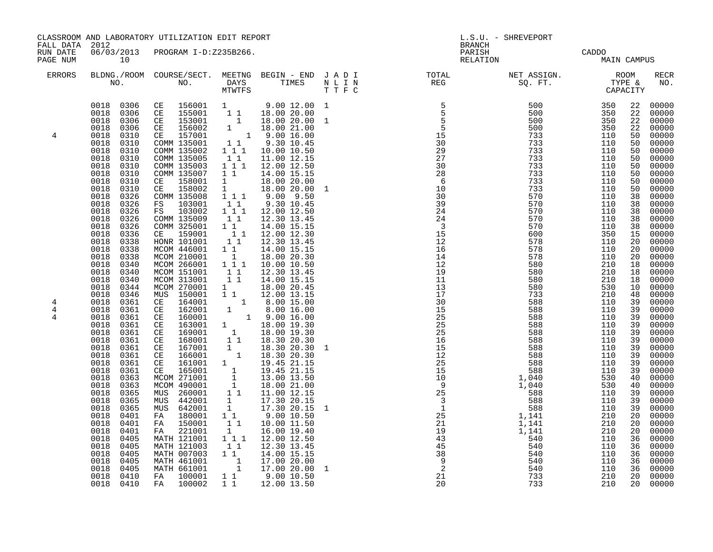| FALL DATA 2012           |                                                                                                                                                                                                                                                                                                                                                                                                                                                                                                                                                                                              | CLASSROOM AND LABORATORY UTILIZATION EDIT REPORT                                                                                                                                                                                                                                                                                                                                                                                                                                                                                 |                                                                                                                                                                                                                                                                                                                                                                      |                                                                                                                                                                                                                                                                                                                                                                                                                                                                                                                                                                                                                                                                                                           | L.S.U. - SHREVEPORT<br><b>BRANCH</b> |                                                                                                                                                                                                                                                                                                                                                                                                       |                                                                                                                                                                                               |                                                                                                                                                                                                                                                          |                                                                                                                                                                                                                                                                                                                                                                                                                                                                                                                                                                                     |  |
|--------------------------|----------------------------------------------------------------------------------------------------------------------------------------------------------------------------------------------------------------------------------------------------------------------------------------------------------------------------------------------------------------------------------------------------------------------------------------------------------------------------------------------------------------------------------------------------------------------------------------------|----------------------------------------------------------------------------------------------------------------------------------------------------------------------------------------------------------------------------------------------------------------------------------------------------------------------------------------------------------------------------------------------------------------------------------------------------------------------------------------------------------------------------------|----------------------------------------------------------------------------------------------------------------------------------------------------------------------------------------------------------------------------------------------------------------------------------------------------------------------------------------------------------------------|-----------------------------------------------------------------------------------------------------------------------------------------------------------------------------------------------------------------------------------------------------------------------------------------------------------------------------------------------------------------------------------------------------------------------------------------------------------------------------------------------------------------------------------------------------------------------------------------------------------------------------------------------------------------------------------------------------------|--------------------------------------|-------------------------------------------------------------------------------------------------------------------------------------------------------------------------------------------------------------------------------------------------------------------------------------------------------------------------------------------------------------------------------------------------------|-----------------------------------------------------------------------------------------------------------------------------------------------------------------------------------------------|----------------------------------------------------------------------------------------------------------------------------------------------------------------------------------------------------------------------------------------------------------|-------------------------------------------------------------------------------------------------------------------------------------------------------------------------------------------------------------------------------------------------------------------------------------------------------------------------------------------------------------------------------------------------------------------------------------------------------------------------------------------------------------------------------------------------------------------------------------|--|
| RUN DATE<br>PAGE NUM     | 10                                                                                                                                                                                                                                                                                                                                                                                                                                                                                                                                                                                           | 06/03/2013 PROGRAM I-D:Z235B266.                                                                                                                                                                                                                                                                                                                                                                                                                                                                                                 |                                                                                                                                                                                                                                                                                                                                                                      |                                                                                                                                                                                                                                                                                                                                                                                                                                                                                                                                                                                                                                                                                                           |                                      | PARISH<br>RELATION                                                                                                                                                                                                                                                                                                                                                                                    |                                                                                                                                                                                               | CADDO<br>MAIN CAMPUS                                                                                                                                                                                                                                     |                                                                                                                                                                                                                                                                                                                                                                                                                                                                                                                                                                                     |  |
| ERRORS                   |                                                                                                                                                                                                                                                                                                                                                                                                                                                                                                                                                                                              |                                                                                                                                                                                                                                                                                                                                                                                                                                                                                                                                  |                                                                                                                                                                                                                                                                                                                                                                      |                                                                                                                                                                                                                                                                                                                                                                                                                                                                                                                                                                                                                                                                                                           |                                      | BLDNG./ROOM COURSE/SECT. MEETNG BEGIN – END JADI TOTAL NET ASSIGN. NET ASSIGN. ROOM NO. DAYS TIMES NLIN REG SQ.FT. TYPE &                                                                                                                                                                                                                                                                             |                                                                                                                                                                                               |                                                                                                                                                                                                                                                          | <b>RECR</b><br>NO.                                                                                                                                                                                                                                                                                                                                                                                                                                                                                                                                                                  |  |
| 4                        | 0018<br>0306<br>0018<br>0306<br>0018<br>0310<br>0018<br>0310<br>0018<br>0310<br>0018<br>0310<br>0018<br>0310<br>0018<br>0310<br>0018<br>0310<br>0018                                                                                                                                                                                                                                                                                                                                                                                                                                         | $\begin{array}{cccccccc} 0018 & 0306 & \text{CE} & 156001 & 1 & 9.00 & 12.00 & 1 \\ 0018 & 0306 & \text{CE} & 155001 & 1 & 1 & 18.00 & 20.00 \end{array}$<br>CE 153001<br>CE 156002<br>CE 157001<br>COMM 135001<br>COMM 135002<br>COMM 135005<br>COMM 135003<br>COMM 135007<br>CE 158001                                                                                                                                                                                                                                         | $1\quad1$<br>$1 1 1$<br>11                                                                                                                                                                                                                                                                                                                                           | $\begin{array}{rrrr} 1 & 18.00 & 20.00 & 1 \ 1 & 18.00 & 21.00 & 1 \ 1 & 9.00 & 16.00 & 1 \ 1 & 9.30 & 10.45 & 1 \ 1 & 10.00 & 10.50 & \end{array}$<br>11.00 12.15<br>12.00 12.50<br>14.00 15.15<br>$\begin{bmatrix} 1 & 18.00 & 20.00 \\ 1 & 18.00 & 20.00 \end{bmatrix}$                                                                                                                                                                                                                                                                                                                                                                                                                                | $\mathbf{1}$                         | $\begin{array}{cccc} 5 & 500 & 350 \\ 5 & 500 & 350 \\ 5 & 500 & 350 \\ 5 & 500 & 350 \\ 15 & 733 & 110 \\ 30 & 733 & 110 \\ 27 & 733 & 110 \\ 27 & 733 & 110 \\ 30 & 733 & 110 \\ 733 & 110 & 110 \\ 30 & 733 & 110 \\ \end{array}$<br>$\begin{array}{c} 29 \\ 27 \\ 30 \\ 28 \\ 6 \\ 29 \end{array}$                                                                                                | 733<br>733<br>733<br>733                                                                                                                                                                      | 110<br>110<br>110<br>110                                                                                                                                                                                                                                 | 22 00000<br>22 00000<br>22<br>00000<br>22<br>00000<br>00000<br>50<br>00000<br>50<br>00000<br>50<br>00000<br>50<br>00000<br>50<br>00000<br>50<br>00000<br>50                                                                                                                                                                                                                                                                                                                                                                                                                         |  |
| $\overline{4}$<br>4<br>4 | 0310<br>0018<br>0326<br>0018<br>0326<br>0018<br>0326<br>0018<br>0326<br>0018<br>0326<br>0018<br>0336<br>0018<br>0338<br>0018<br>0338<br>0018<br>0338<br>0018<br>0340<br>0018<br>0340<br>0018<br>0340<br>0018<br>0344<br>0018<br>0346<br>0018<br>0361<br>0018<br>0361<br>0018<br>0361<br>0018<br>0361<br>0018<br>0361<br>0018<br>0361<br>0018<br>0018<br>0361<br>0018<br>0361<br>0018<br>0361<br>0018<br>0363<br>0018<br>0363<br>0018<br>0365<br>0018<br>0365<br>0018<br>0365<br>0018<br>0401<br>0018<br>0401<br>0018<br>0401<br>0018<br>0405<br>0018<br>0405<br>0018<br>0405<br>0018<br>0405 | CE 158002<br>COMM 135008<br>FS 103001<br>FS 103002<br>COMM 135009<br>COMM 325001<br>CE 159001<br>HONR 101001<br>MCOM 446001<br>MCOM 210001<br>MCOM 266001<br>MCOM 151001<br>MCOM 313001<br>MCOM 270001<br>MUS 150001<br>CE 164001<br>CE 162001<br>CE 160001<br>CE 163001<br>CE 169001<br>CE 168001<br>0361 CE 167001<br>CE 166001<br>CE 161001<br>165001<br>CE<br>MCOM 271001<br>MCOM 490001<br>MUS 260001<br>MUS 442001<br>MUS 642001<br>FA 180001<br>150001<br>FA<br>221001<br>FA<br>MATH 121001<br>MATH 121003<br>MATH 007003 | 11<br>$1 1 1$<br>$\begin{smallmatrix}1&1\\1&1\end{smallmatrix}$<br>$1\quad1$<br>$\overline{1}$<br>$1 1 1$<br>$\begin{bmatrix} 1 & 1 \\ 1 & 1 \end{bmatrix}$<br>1<br>$\begin{smallmatrix}1&&\\&1\end{smallmatrix}$<br>$\begin{bmatrix} 1 \\ 1 \\ 1 \end{bmatrix}$<br>$\begin{bmatrix} 1 \\ 1 \end{bmatrix}$<br>$1 1 1$<br>$\begin{bmatrix} 1 & 1 \end{bmatrix}$<br>11 | 1 1 1 9.00 9.50<br>9.30 10.45<br>12.00 12.50<br>12.30 13.45<br>14.00 15.15<br>$\begin{array}{rrrr} 1 & 1 & 12.00 & 12.30 \\ 1 & 1 & 12.30 & 13.45 \end{array}$<br>14.00 15.15<br>18.00 20.30<br>10.00 10.50<br>12.30 13.45<br>14.00 15.15<br>18.00 20.45<br>$\overline{1}$ 1 $\overline{12.00}$ 13.15<br>1 $\overline{8.00}$ 15.00<br>$\begin{array}{rrrr} & 1 & 8.00 & 15.00 \ 1 & 9.00 & 16.00 \ 1 & 18.00 & 19.30 \ 1 & 18.00 & 19.30 \ 1 & 18.30 & 20.30 \end{array}$<br>18.30 20.30<br>18.30 20.30<br>19.45 21.15<br>19.45 21.15<br>13.00 13.50<br>18.00 21.00<br>11.00 12.15<br>17.30 20.15<br>17.30 20.15<br>9.00 10.50<br>10.00 11.50<br>16.00 19.40<br>12.00 12.50<br>12.30 13.45<br>14.00 15.15 | 1<br>$\mathbf{1}$<br>$\mathbf 1$     | $\begin{array}{r} 6 \\ 10 \\ 30 \\ 39 \\ 24 \\ 24 \\ 24 \\ \end{array}$<br>$\overline{3}$<br>$\frac{15}{12}$<br>12<br>16<br>14<br>12<br>19<br>11<br>13<br>$\frac{17}{17}$<br>30<br>$30$<br>$15$<br>$25$<br>$25$<br>$16$<br>$15$<br>$12$<br>$25$<br>$15$<br>$10$<br>$9$<br>$25$<br>$3$<br>$15$<br>$12$<br>$25$<br>$3$<br>$15$<br>$25$<br>$3$<br>$15$<br>$25$<br>$3$<br>$12$<br>$25$<br>$3$<br>$14$<br> | 570<br>570<br>570<br>570<br>570<br>600<br>578<br>578<br>578<br>580<br>580<br>580<br>580<br>733<br>588<br>588<br>588<br>588<br>588<br>588<br>588<br>588<br>588<br>588<br>$588$<br>$588$<br>540 | 110<br>110<br>110<br>110<br>110<br>350<br>110<br>110<br>110<br>210<br>210<br>210<br>530<br>210<br>110<br>110<br>110<br>110<br>110<br>110<br>110<br>110<br>110<br>110<br>530<br>530<br>110<br>110<br>110<br>210<br>210<br>210<br>110<br>110<br>110<br>110 | 00000<br>50<br>$00000$<br>$00000$<br>38<br>38<br>38<br>00000<br>$00000$<br>$00000$<br>38<br>38<br>$00000$<br>00000<br>15<br>20<br>00000<br>20<br>00000<br>20<br>00000<br>18<br>00000<br>18<br>00000<br>18<br>00000<br>10<br>$00000$<br>00000<br>48<br>39<br>00000<br>39<br>00000<br>39<br>00000<br>39<br>00000<br>39<br>00000<br>39<br>00000<br>39<br>00000<br>39<br>00000<br>39<br>00000<br>39<br>00000<br>40<br>00000<br>40<br>00000<br>39<br>00000<br>39<br>00000<br>39<br>00000<br>20<br>00000<br>20<br>00000<br>20<br>00000<br>36<br>00000<br>36<br>00000<br>36<br>00000<br>36 |  |
|                          | 0018<br>0405<br>0018<br>0410<br>0018 0410                                                                                                                                                                                                                                                                                                                                                                                                                                                                                                                                                    | MATH 461001<br>MATH 661001 1 17.00 20.00<br>FA 100001 1 9.00 10.50<br>FA 100002 1 1 12.00 13.50                                                                                                                                                                                                                                                                                                                                                                                                                                  |                                                                                                                                                                                                                                                                                                                                                                      |                                                                                                                                                                                                                                                                                                                                                                                                                                                                                                                                                                                                                                                                                                           | $\mathbf 1$                          | $\frac{9}{2}$<br>21<br>20                                                                                                                                                                                                                                                                                                                                                                             | 540<br>733<br>733                                                                                                                                                                             | 110<br>210<br>210                                                                                                                                                                                                                                        | 00000<br>36<br>20<br>00000<br>00000<br>20                                                                                                                                                                                                                                                                                                                                                                                                                                                                                                                                           |  |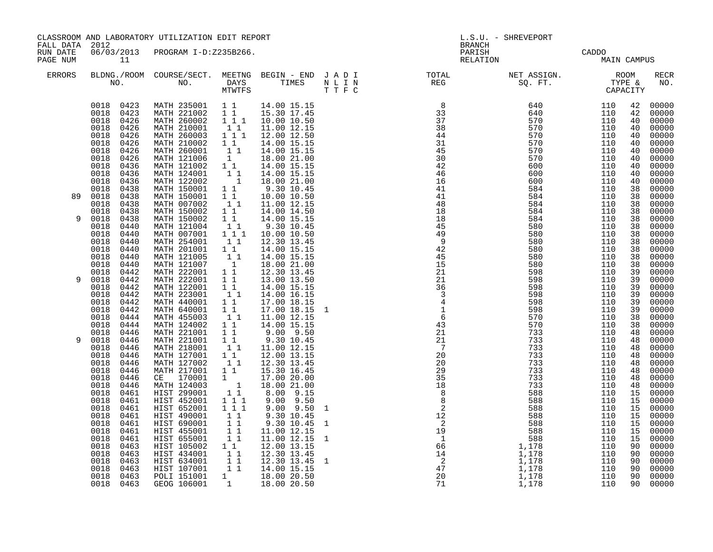| FALL DATA 2012       |                                                                                                                                                                                                                                                                                                                           | CLASSROOM AND LABORATORY UTILIZATION EDIT REPORT                                                                                                                                                                                                                                                                                                                                              |                                                                                                                                                                                                                           |                                                                                                                                                                                                                                              |                                                              | L.S.U. - SHREVEPORT<br><b>BRANCH</b>                                                                                                                                                                    |                                                                                                                                                                                                                                                                          |                                                                                         |                                                                                  |                                                                                                                                                                                                                                                 |
|----------------------|---------------------------------------------------------------------------------------------------------------------------------------------------------------------------------------------------------------------------------------------------------------------------------------------------------------------------|-----------------------------------------------------------------------------------------------------------------------------------------------------------------------------------------------------------------------------------------------------------------------------------------------------------------------------------------------------------------------------------------------|---------------------------------------------------------------------------------------------------------------------------------------------------------------------------------------------------------------------------|----------------------------------------------------------------------------------------------------------------------------------------------------------------------------------------------------------------------------------------------|--------------------------------------------------------------|---------------------------------------------------------------------------------------------------------------------------------------------------------------------------------------------------------|--------------------------------------------------------------------------------------------------------------------------------------------------------------------------------------------------------------------------------------------------------------------------|-----------------------------------------------------------------------------------------|----------------------------------------------------------------------------------|-------------------------------------------------------------------------------------------------------------------------------------------------------------------------------------------------------------------------------------------------|
| RUN DATE<br>PAGE NUM | 11                                                                                                                                                                                                                                                                                                                        | 06/03/2013 PROGRAM I-D:Z235B266.                                                                                                                                                                                                                                                                                                                                                              |                                                                                                                                                                                                                           |                                                                                                                                                                                                                                              |                                                              | PARISH<br>RELATION                                                                                                                                                                                      |                                                                                                                                                                                                                                                                          | CADDO<br>MAIN CAMPUS                                                                    |                                                                                  |                                                                                                                                                                                                                                                 |
| <b>ERRORS</b>        |                                                                                                                                                                                                                                                                                                                           |                                                                                                                                                                                                                                                                                                                                                                                               |                                                                                                                                                                                                                           |                                                                                                                                                                                                                                              |                                                              |                                                                                                                                                                                                         |                                                                                                                                                                                                                                                                          |                                                                                         |                                                                                  | <b>RECR</b><br>NO.                                                                                                                                                                                                                              |
|                      | 0018 0423<br>0018 0423<br>0018<br>0426<br>0018<br>0426<br>0018<br>0426<br>0018<br>0426<br>0018<br>0426<br>0018<br>0426<br>0018<br>0436<br>0018<br>0436<br>0018<br>0436                                                                                                                                                    | MATH 235001   1   1   14.00   15.15<br>MATH 221002   1   15.30   17.45<br>MATH 260002<br>MATH 210001<br>MATH 260003 1 1 1 12.00 12.50<br>MATH 210002<br>MATH 260001<br>MATH 121006 1<br>MATH 121002 1 1<br>MATH 124001<br>MATH 122002                                                                                                                                                         | 11<br>$\begin{smallmatrix}1&&1\\&1\\1&&1\end{smallmatrix}$<br>$\begin{bmatrix} 1\\ 1\\ 1\\ 1 \end{bmatrix}$                                                                                                               | 1 1 1 1 10.00 10.50<br>11.00 12.15<br>14.00 15.15<br>14.00 15.15<br>18.00 21.00<br>14.00 15.15<br>14.00 15.15<br>18.00 21.00                                                                                                                 |                                                              | $\begin{array}{c} 8 \\ 33 \end{array}$<br>$\frac{37}{38}$<br>44<br>31<br>45<br>30<br>42<br>46<br>16                                                                                                     | $\begin{array}{cccc} 640 & 110 & 42 & 00000\ 640 & 110 & 42 & 00000\ 570 & 110 & 40 & 00000\ 570 & 110 & 40 & 00000\ 570 & 110 & 40 & 00000\ 570 & 110 & 40 & 00000\ 570 & 110 & 40 & 00000\ 570 & 110 & 40 & 00000\ 600 & 110 & 40 & 00000\ 600 & 110 & 40 & 00000\ 60$ |                                                                                         |                                                                                  |                                                                                                                                                                                                                                                 |
| 89                   | 0018<br>0438<br>0018<br>0438<br>0018<br>0438<br>0018<br>0438                                                                                                                                                                                                                                                              | MATH 150001<br>MATH 150001<br>MATH 007002<br>MATH 150002                                                                                                                                                                                                                                                                                                                                      | $1\quad1$<br>$\begin{bmatrix} 1 \\ 1 \end{bmatrix}$                                                                                                                                                                       | 9.30 10.45<br>10.00 10.50<br>11.00 12.15<br>1 1 14.00 14.50                                                                                                                                                                                  |                                                              | 41<br>41<br>48<br>18                                                                                                                                                                                    | 584<br>584                                                                                                                                                                                                                                                               | 110<br>110                                                                              | 38<br>38                                                                         | 00000<br>00000                                                                                                                                                                                                                                  |
| 9                    | 0018<br>0438<br>0018<br>0440<br>0018<br>0440<br>0018<br>0440<br>0018<br>0440<br>0018<br>0440<br>0018<br>0440<br>0018<br>0442                                                                                                                                                                                              | MATH 150002<br>MATH 121004<br>MATH 007001<br>MATH 254001 11<br>MATH 201001 11<br>MATH 121005 11<br>MATH 121007 1<br>MATH 222001 1 1                                                                                                                                                                                                                                                           | $1\quad1$<br>$\begin{bmatrix} 1 \\ 1 \\ 1 \end{bmatrix} \begin{bmatrix} 1 \\ 1 \end{bmatrix}$                                                                                                                             | 14.00 15.15<br>9.30 10.45<br>10.00 10.50<br>12.30 13.45<br>14.00 15.15<br>14.00 15.15<br>18.00 21.00<br>12.30 13.45                                                                                                                          |                                                              | 18<br>45<br>49<br>$\frac{1}{9}$<br>42<br>45<br>$\overline{15}$<br>21                                                                                                                                    | 584<br>580<br>580<br>580<br>580<br>580<br>580<br>598                                                                                                                                                                                                                     | 110<br>110<br>110<br>110<br>110<br>110<br>110<br>110                                    | 38<br>38<br>38<br>38<br>38<br>38<br>38<br>39                                     | 00000<br>00000<br>00000<br>00000<br>00000<br>00000<br>00000                                                                                                                                                                                     |
| 9                    | 0018<br>0442<br>0018<br>0442<br>0018<br>0442<br>0018<br>0442<br>0018<br>0442<br>0018<br>0444<br>0018<br>0444<br>0018<br>0446                                                                                                                                                                                              | MATH 222001<br>MATH 122001<br>MATH 223001<br>MATH 440001<br>MATH 640001<br>MATH 455003<br>MATH 124002<br>MATH 221001                                                                                                                                                                                                                                                                          | 11<br>11<br>11<br>$1\quad1$<br>$\frac{1}{1}$ $\frac{1}{1}$                                                                                                                                                                | 13.00 13.50<br>14.00 15.15<br>14.00 16.15<br>17.00 18.15<br>17.00 18.15<br>11.00 12.15                                                                                                                                                       | 1                                                            | $\overline{21}$<br>$\begin{array}{r} 36 \\ 36 \\ 3 \\ 4 \end{array}$<br>$\overline{1}$<br>$\overline{6}$<br>$\frac{43}{21}$                                                                             | 598<br>598<br>598<br>598<br>598<br>570<br>570<br>733                                                                                                                                                                                                                     | 110<br>110<br>110<br>110<br>110<br>110<br>110<br>110                                    | 39<br>39<br>39<br>39<br>39<br>38<br>38<br>48                                     | 00000<br>00000<br>00000<br>00000<br>00000<br>$00000$<br>00000<br>00000                                                                                                                                                                          |
|                      | 0018<br>0446<br>0018<br>0446<br>0018<br>0446<br>0018<br>0446<br>0018<br>0446<br>0018<br>0446<br>0018<br>0446<br>0018<br>0461<br>0018<br>0461<br>0018<br>0461<br>0018<br>0461<br>0018<br>0461<br>0018<br>0461<br>0018<br>0461<br>0018<br>0463<br>0018<br>0463<br>0018<br>0463<br>0018<br>0463<br>0018<br>0463<br>0018 0463 | MATH 221001<br>MATH 218001<br>MATH 127001 1 1<br>MATH 127002<br>MATH 127001<br>CE 170001<br>MATH 124003<br>HIST 299001<br>HIST 452001<br>HIST 652001<br>HIST 490001<br>HIST 690001<br>HIST 455001<br>HIST 655001<br>HIST 105002 1 1<br>HIST 434001 1 1<br>HIST 634001 1 1 12.30 13.45<br>HIST 107001 1 1 14.00 15.15<br>POLI 151001 1 18.00 20.50<br>GEOG 106001 1 18.00 20.50<br>GEOG 106001 | 11<br>11<br>$1\quad1$<br>$\begin{array}{c} \begin{array}{c} 1 \\ 1 \end{array} \\ \begin{array}{c} 1 \\ 1 \end{array} \end{array}$<br>$1 1 1$<br>$1 1 1$<br>11<br>$\begin{array}{rr} 1 & 1 \\ 1 & 1 \\ 1 & 1 \end{array}$ | 11.00 12.15<br>12.00 13.15<br>12.30 13.45<br>15.30 16.45<br>17.00 20.00<br>18.00 21.00<br>8.00 9.15<br>$9.00$ $9.50$<br>$9.00$ $9.50$<br>9.30 10.45<br>9.30 10.45<br>11.00 12.15<br>11.00 12.15<br>12.00 13.15<br>12.30 13.45<br>12.30 13.45 | $\mathbf{1}$<br>$\mathbf{1}$<br>$\mathbf{1}$<br>$\mathbf{1}$ | 21<br>$\overline{7}$<br>20<br>20<br>29<br>35<br>18<br>$\begin{array}{r} 2 \ 8 \ 8 \ 2 \ 12 \end{array}$<br>$\begin{array}{r} 12 \\ 2 \\ 19 \\ 1 \\ 6 \\ 6 \\ 14 \\ 2 \\ 4 \\ 7 \\ 20 \\ 71 \end{array}$ | 733<br>733<br>733<br>733<br>733<br>733<br>733<br>588<br>588<br>588<br>588<br>588<br>588<br>$1,178$<br>$1,178$<br>1,178<br>1,178<br>1,178<br>1,178                                                                                                                        | 110<br>110<br>110<br>110<br>110<br>110<br>110<br>110<br>110<br>110<br>110<br>110<br>110 | 48<br>48<br>48<br>48<br>48<br>48<br>48<br>15<br>15<br>15<br>15<br>15<br>15<br>90 | 00000<br>00000<br>00000<br>$00000$<br>00000<br>00000<br>00000<br>$00000$<br>00000<br>00000<br>00000<br>00000<br>$\frac{15}{90}$ 00000<br>90 00000<br>00000<br>$\begin{array}{ccc} 90 & 00000 \ 90 & 00000 \ 90 & 00000 \end{array}$<br>90 00000 |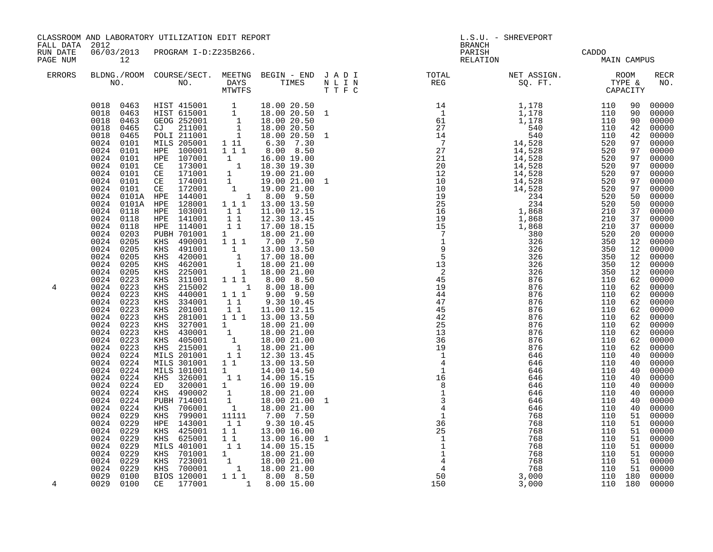| FALL DATA 2012       |                                                                                                                                                                                                                                                                                                                                                                                                                                                                                                                                                                                                                                                                                                                         | CLASSROOM AND LABORATORY UTILIZATION EDIT REPORT                                                                                                                                                                                                                                                                                                                                                                                                                                                                                                                                                                                                                                                                                                                                                                                                                                                                                                                                                                                                                                                                                                                                                                                                     |                                                                                                                                        |                                                                                                                                                                                                                                                                                                                                                                                                                                                                                                                                                                                                                                                                                                                                                                                         |                                  | L.S.U. - SHREVEPORT<br><b>BRANCH</b>                                                                                                                                                                                                                                                                                                                                                                                                                                                                                                                                                                                                                                                                                                                                                            |                                                                                                                                                                                                                    |                                                                                                                                                                                                                        |                                                                                                                            |                                                                                                                                                                                                                                                                                                                                                                                                                                                                                                                                                                                                                                                      |
|----------------------|-------------------------------------------------------------------------------------------------------------------------------------------------------------------------------------------------------------------------------------------------------------------------------------------------------------------------------------------------------------------------------------------------------------------------------------------------------------------------------------------------------------------------------------------------------------------------------------------------------------------------------------------------------------------------------------------------------------------------|------------------------------------------------------------------------------------------------------------------------------------------------------------------------------------------------------------------------------------------------------------------------------------------------------------------------------------------------------------------------------------------------------------------------------------------------------------------------------------------------------------------------------------------------------------------------------------------------------------------------------------------------------------------------------------------------------------------------------------------------------------------------------------------------------------------------------------------------------------------------------------------------------------------------------------------------------------------------------------------------------------------------------------------------------------------------------------------------------------------------------------------------------------------------------------------------------------------------------------------------------|----------------------------------------------------------------------------------------------------------------------------------------|-----------------------------------------------------------------------------------------------------------------------------------------------------------------------------------------------------------------------------------------------------------------------------------------------------------------------------------------------------------------------------------------------------------------------------------------------------------------------------------------------------------------------------------------------------------------------------------------------------------------------------------------------------------------------------------------------------------------------------------------------------------------------------------------|----------------------------------|-------------------------------------------------------------------------------------------------------------------------------------------------------------------------------------------------------------------------------------------------------------------------------------------------------------------------------------------------------------------------------------------------------------------------------------------------------------------------------------------------------------------------------------------------------------------------------------------------------------------------------------------------------------------------------------------------------------------------------------------------------------------------------------------------|--------------------------------------------------------------------------------------------------------------------------------------------------------------------------------------------------------------------|------------------------------------------------------------------------------------------------------------------------------------------------------------------------------------------------------------------------|----------------------------------------------------------------------------------------------------------------------------|------------------------------------------------------------------------------------------------------------------------------------------------------------------------------------------------------------------------------------------------------------------------------------------------------------------------------------------------------------------------------------------------------------------------------------------------------------------------------------------------------------------------------------------------------------------------------------------------------------------------------------------------------|
| RUN DATE<br>PAGE NUM | 12                                                                                                                                                                                                                                                                                                                                                                                                                                                                                                                                                                                                                                                                                                                      | 06/03/2013 PROGRAM I-D:Z235B266.                                                                                                                                                                                                                                                                                                                                                                                                                                                                                                                                                                                                                                                                                                                                                                                                                                                                                                                                                                                                                                                                                                                                                                                                                     |                                                                                                                                        |                                                                                                                                                                                                                                                                                                                                                                                                                                                                                                                                                                                                                                                                                                                                                                                         |                                  | PARISH<br>RELATION                                                                                                                                                                                                                                                                                                                                                                                                                                                                                                                                                                                                                                                                                                                                                                              | CADDO<br>MAIN CAMPUS                                                                                                                                                                                               |                                                                                                                                                                                                                        |                                                                                                                            |                                                                                                                                                                                                                                                                                                                                                                                                                                                                                                                                                                                                                                                      |
| ERRORS               |                                                                                                                                                                                                                                                                                                                                                                                                                                                                                                                                                                                                                                                                                                                         |                                                                                                                                                                                                                                                                                                                                                                                                                                                                                                                                                                                                                                                                                                                                                                                                                                                                                                                                                                                                                                                                                                                                                                                                                                                      |                                                                                                                                        |                                                                                                                                                                                                                                                                                                                                                                                                                                                                                                                                                                                                                                                                                                                                                                                         |                                  |                                                                                                                                                                                                                                                                                                                                                                                                                                                                                                                                                                                                                                                                                                                                                                                                 |                                                                                                                                                                                                                    |                                                                                                                                                                                                                        |                                                                                                                            | <b>RECR</b><br>NO.                                                                                                                                                                                                                                                                                                                                                                                                                                                                                                                                                                                                                                   |
| 4<br>4               | 0024<br>0101<br>0024 0101<br>0024<br>0101<br>0024 0101<br>0024 0101<br>0024<br>0101<br>0024<br>0101<br>0024<br>0024<br>0101A<br>0024<br>0118<br>0024<br>0118<br>0024<br>0118<br>0024<br>0203<br>0024<br>0205<br>0024 0205<br>0024<br>0205<br>0024 0205<br>0024 0205<br>0024<br>0223<br>0024<br>0223<br>0223<br>0024<br>0024<br>0223<br>0024<br>0223<br>0024<br>0223<br>0024<br>0223<br>0024<br>0223<br>0024<br>0223<br>0024<br>0223<br>0024<br>0224<br>0024 0224<br>0024 0224<br>0024 0224<br>0024<br>0224<br>0024<br>0224<br>0024<br>0224<br>0024<br>0224<br>0024<br>0229<br>0024<br>0229<br>0024<br>0229<br>0024<br>0229<br>0024<br>0229<br>0024<br>0229<br>0024<br>0229<br>0024<br>0229<br>0029<br>0100<br>0029 0100 | $\begin{array}{cccccc} 0018 & 0463 & \text{HIST 415001} & 1 & 18.00 & 20.50 \\ 0018 & 0463 & \text{HIST 615001} & 1 & 18.00 & 20.50 & 1 \\ 0018 & 0463 & \text{GEOG 252001} & 1 & 18.00 & 20.50 \\ 0018 & 0465 & \text{CJ} & 211001 & 1 & 18.00 & 20.50 \\ 0018 & 0465 & \text{POLI 211001} & 1 & 18.00 &$<br>MILS 205001 1 11<br>MILS 205001 1 11 6.30 7.30<br>HPE 100001 1 11 8.00 8.50<br>HPE 107001 1 16.00 19.00<br>CE 173001 1 18.30 19.30<br>CE 171001 1 19.00 21.00<br>CE 172001 1 19.00 21.00<br>CE 172001 1 19.00 21.00<br>HPE 144001 1 8.00 9.50<br>HPE 128001 1 1 13<br>0101A HPE 144001<br>HPE 103001<br>HPE 141001<br>HPE 114001<br>PUBH 701001<br>KHS 490001<br>491001<br>KHS<br>420001<br>KHS<br>KHS 462001<br>KHS 225001<br>KHS 311001 1 1 1 8.00 8.50<br>KHS<br>215002<br>440001<br>KHS<br>KHS 334001<br>KHS 201001<br>281001<br>KHS<br>KHS 327001<br>KHS 430001<br>KHS 405001<br>KHS 215001<br>MILS 201001<br>MILS 301001<br>MILS 101001<br>KHS 326001<br>ED 320001<br>KHS 490002<br>PUBH 714001<br>KHS 706001<br>799001<br>KHS<br>HPE 143001<br>425001<br>KHS<br>KHS 625001<br><b>MILS 401001</b><br>XHS 701001 1 18.00 21.00<br>KHS 723001 1 18.00 21.00<br>KHS 700001 1 18.00 21.00<br>BIOS 120001 1 11 8.00 8.50<br>CE 177001 | 11<br>$\begin{array}{cc} 1 & 1 \\ 1 & 1 \end{array}$<br>$\mathbf 1$<br>$1 1 1$<br>11<br>11<br>11<br>1<br>$1\quad1$<br>$1\quad1$<br>1 1 | $18.00$ 20.50 1<br>6.30 7.30<br>11.00 12.15<br>12.30 13.45<br>17.00 18.15<br>18.00 21.00<br>1 1 1 7.00 7.50<br>$\begin{array}{rrrr} 1 & 1.300 & 13.50 \ 1 & 17.00 & 18.00 \ 1 & 18.00 & 21.00 \ 1 & 18.00 & 21.00 \end{array}$<br>$1 \t 8.00 \t 18.00$<br>$9.00$ $9.50$<br>9.30 10.45<br>11.00 12.15<br>$1\overline{1}$ $1\overline{1}$ $13.00\overline{1}$ $13.50$<br>$\begin{array}{rrrr} 1 & 1 & 18.00 & 21.00 \ 1 & 18.00 & 21.00 \ 1 & 18.00 & 21.00 \ 1 & 18.00 & 21.00 \ 1 & 12.30 & 13.45 \end{array}$<br>13.00 13.50<br>14.00 14.50<br>1 1 14.00 15.15<br>$\begin{array}{rrrr} 1 & 16.00 & 19.00 \ 1 & 18.00 & 21.00 \ 1 & 18.00 & 21.00 \ 1 & 18.00 & 21.00 \ 11111 & 7.00 & 7.50 \end{array}$<br>9.30 10.45<br>13.00 16.00<br>13.00 16.00<br>1 1 14.00 15.15<br>1 8.00 15.00 | $\mathbf{1}$<br>$\mathbf 1$<br>1 | $\begin{array}{cccccccc} \text{T} & \text{F} & \text{C} & \text{CAPACITY} & \text{CAPACITY} \\ \text{14} & \text{1,178} & \text{110} & \text{90} \\ \text{61} & \text{1,178} & \text{110} & \text{90} \\ \text{77} & \text{14,528} & \text{110} & \text{42} \\ \text{77} & \text{14,528} & \text{520} & \text{97} \\ \text{27} & \text{14,528} & \text{520} & \text{97} \\ \text{27} & \text{14,5$<br>$\begin{array}{c} 7 \\ 7 \\ 9 \\ 5 \\ 13 \\ \end{array}$<br>$\overline{\phantom{a}}$<br>45<br>19<br>$\frac{44}{47}$<br>45<br>42<br>25<br>$\overline{13}$<br>36<br>19<br>$\overline{\phantom{a}}$<br>$\overline{4}$<br>$\overline{1}$<br>$\begin{bmatrix} 16 \\ 8 \\ 1 \\ 3 \\ 4 \\ 1 \end{bmatrix}$<br>$36$<br>$25$<br>$1$<br>$1$<br>$1$<br>$\overline{4}$<br>$\overline{4}$<br>50<br>150 | 326<br>326<br>876<br>876<br>876<br>876<br>876<br>876<br>876<br>876<br>876<br>876<br>646<br>646<br>646<br>646<br>646<br>646<br>646<br>646<br>768<br>768<br>768<br>768<br>768<br>768<br>768<br>768<br>3,000<br>3,000 | 350<br>350<br>110<br>110<br>110<br>110<br>110<br>110<br>110<br>110<br>110<br>110<br>110<br>110<br>110<br>110<br>110<br>110<br>110<br>110<br>110<br>110<br>110<br>110<br>110<br>110<br>110<br>110<br>110 180<br>110 180 | 12<br>12<br>62<br>62<br>62<br>62<br>40<br>40<br>40<br>40<br>40<br>40<br>40<br>40<br>51<br>51<br>51<br>51<br>51<br>51<br>51 | 00000<br>00000<br>00000<br>$\begin{matrix}42 & 00000\\ 42 & 00000\end{matrix}$<br>00000<br>$\begin{array}{cccc} 97 & 00000 \\ 97 & 00000 \\ 97 & 00000 \end{array}$<br>00000<br>00000<br>00000<br>50 00000<br>00000<br>00000<br>$00000$<br>00000<br>00000<br>00000<br>00000<br>$00000$<br>00000<br>00000<br>$\begin{array}{r} 62 \ \ 62 \ \ 00000 \ \ 62 \ \ 00000 \ \ 62 \ \ 00000 \ \ 62 \ \ 00000 \end{array}$<br>00000<br>62 00000<br>62 00000<br>00000<br>00000<br>00000<br>00000<br>00000<br>00000<br>$00000$<br>00000<br>00000<br>00000<br>00000<br>00000<br>00000<br>00000<br>00000<br>51 00000<br>00000<br>00000<br>00000<br>00000<br>00000 |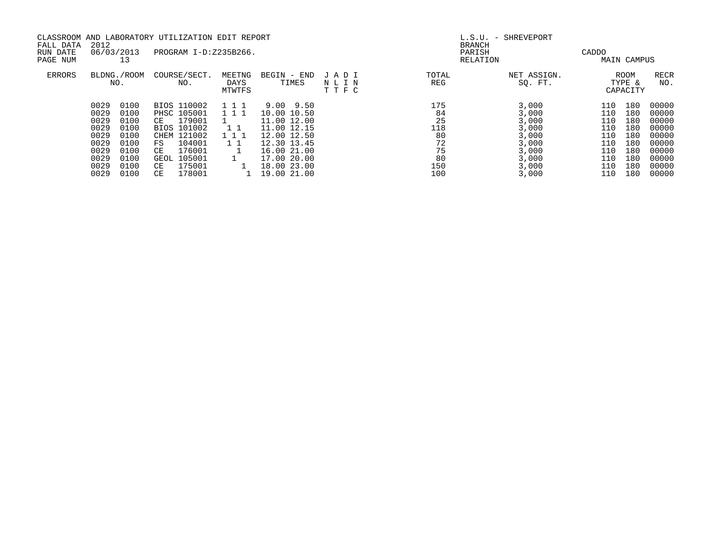| FALL DATA     | 2012         |  |                       | CLASSROOM AND LABORATORY UTILIZATION EDIT REPORT |             |              |        | L.S.U. - SHREVEPORT<br><b>BRANCH</b> |       |                    |       |          |  |                    |  |
|---------------|--------------|--|-----------------------|--------------------------------------------------|-------------|--------------|--------|--------------------------------------|-------|--------------------|-------|----------|--|--------------------|--|
| RUN DATE      | 06/03/2013   |  | PROGRAM I-D:Z235B266. |                                                  |             |              | PARISH |                                      | CADDO |                    |       |          |  |                    |  |
| PAGE NUM      | 13           |  |                       |                                                  |             |              |        |                                      |       |                    |       | RELATION |  | <b>MAIN CAMPUS</b> |  |
| <b>ERRORS</b> | BLDNG./ROOM  |  | COURSE/SECT.          | MEETNG                                           | BEGIN - END | JADI         | TOTAL  | NET ASSIGN.                          |       | <b>ROOM</b>        | RECR  |          |  |                    |  |
|               | NO.          |  | NO.                   | DAYS<br>MTWTFS                                   | TIMES       | NLIN<br>TTFC | REG    | SO. FT.                              |       | TYPE &<br>CAPACITY | NO.   |          |  |                    |  |
|               | 0029<br>0100 |  | BIOS 110002           | 111                                              | 9.00 9.50   |              | 175    | 3,000                                | 110   | 180                | 00000 |          |  |                    |  |
|               | 0029<br>0100 |  | <b>PHSC 105001</b>    | 111                                              | 10.00 10.50 |              | 84     | 3,000                                | 110   | 180                | 00000 |          |  |                    |  |
|               | 0029<br>0100 |  | 179001<br>CE          |                                                  | 11.00 12.00 |              | 25     | 3,000                                | 110   | 180                | 00000 |          |  |                    |  |
|               | 0029<br>0100 |  | BIOS 101002           | 1 1                                              | 11.00 12.15 |              | 118    | 3,000                                | 110   | 180                | 00000 |          |  |                    |  |
|               | 0029<br>0100 |  | 121002<br>CHEM        | 111                                              | 12.00 12.50 |              | 80     | 3,000                                | 110   | 180                | 00000 |          |  |                    |  |
|               | 0029<br>0100 |  | 104001<br>FS          | $1\quad1$                                        | 12.30 13.45 |              | 72     | 3,000                                | 110   | 180                | 00000 |          |  |                    |  |
|               | 0029<br>0100 |  | 176001<br>CE          |                                                  | 16.00 21.00 |              | 75     | 3,000                                | 110   | 180                | 00000 |          |  |                    |  |
|               | 0029<br>0100 |  | 105001<br>GEOL        |                                                  | 17.00 20.00 |              | 80     | 3,000                                | 110   | 180                | 00000 |          |  |                    |  |
|               | 0029<br>0100 |  | 175001<br>CE          |                                                  | 18.00 23.00 |              | 150    | 3,000                                | 110   | 180                | 00000 |          |  |                    |  |
|               | 0029<br>0100 |  | 178001<br>CE          |                                                  | 19.00 21.00 |              | 100    | 3.000                                | 110   | 180                | 00000 |          |  |                    |  |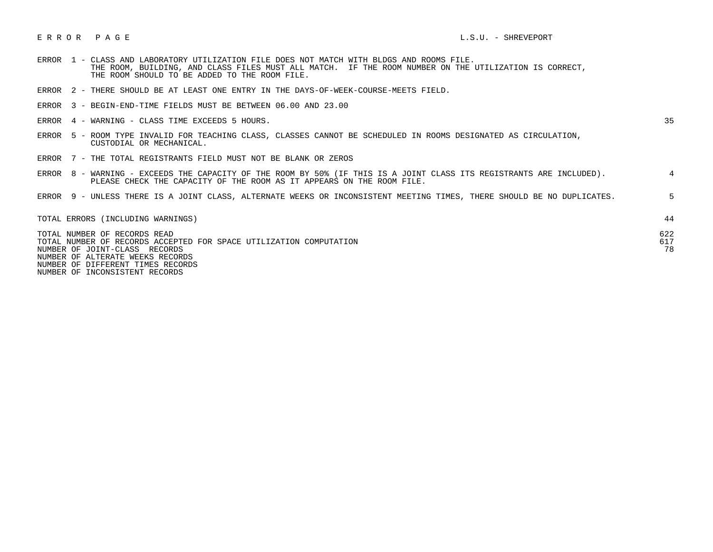## E R R O R P A G E L.S.U. - SHREVEPORT

- ERROR 1 CLASS AND LABORATORY UTILIZATION FILE DOES NOT MATCH WITH BLDGS AND ROOMS FILE. THE ROOM, BUILDING, AND CLASS FILES MUST ALL MATCH. IF THE ROOM NUMBER ON THE UTILIZATION IS CORRECT, THE ROOM SHOULD TO BE ADDED TO THE ROOM FILE.
- ERROR 2 THERE SHOULD BE AT LEAST ONE ENTRY IN THE DAYS-OF-WEEK-COURSE-MEETS FIELD.
- ERROR 3 BEGIN-END-TIME FIELDS MUST BE BETWEEN 06.00 AND 23.00
- ERROR 4 WARNING CLASS TIME EXCEEDS 5 HOURS. 35

- ERROR 5 ROOM TYPE INVALID FOR TEACHING CLASS, CLASSES CANNOT BE SCHEDULED IN ROOMS DESIGNATED AS CIRCULATION, CUSTODIAL OR MECHANICAL.
- ERROR 7 THE TOTAL REGISTRANTS FIELD MUST NOT BE BLANK OR ZEROS

|  | ERROR 8 - WARNING - EXCEEDS THE CAPACITY OF THE ROOM BY 50% (IF THIS IS A JOINT CLASS ITS REGISTRANTS ARE INCLUDED). |  |
|--|----------------------------------------------------------------------------------------------------------------------|--|
|  | PLEASE CHECK THE CAPACITY OF THE ROOM AS IT APPEARS ON THE ROOM FILE.                                                |  |
|  |                                                                                                                      |  |

ERROR 9 - UNLESS THERE IS A JOINT CLASS, ALTERNATE WEEKS OR INCONSISTENT MEETING TIMES, THERE SHOULD BE NO DUPLICATES. 5

| TOTAL ERRORS (INCLUDING WARNINGS)                                  |     |
|--------------------------------------------------------------------|-----|
| TOTAL NUMBER OF RECORDS READ                                       | 622 |
| TOTAL NUMBER OF RECORDS ACCEPTED FOR SPACE UTILIZATION COMPUTATION | 617 |
| NUMBER OF JOINT-CLASS RECORDS                                      | 78  |
| NUMBER OF ALTERATE WEEKS RECORDS                                   |     |
| NUMBER OF DIFFERENT TIMES RECORDS                                  |     |

NUMBER OF INCONSISTENT RECORDS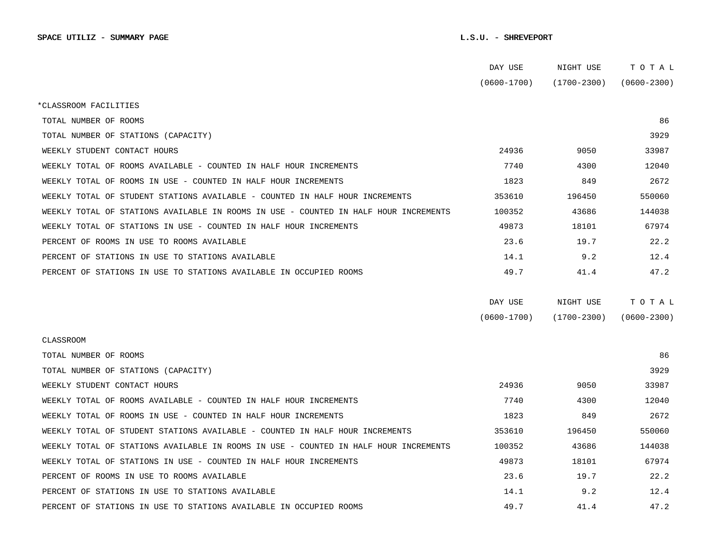|                                                                                      | DAY USE         | NIGHT USE       | TOTAL           |  |
|--------------------------------------------------------------------------------------|-----------------|-----------------|-----------------|--|
|                                                                                      | $(0600 - 1700)$ | (1700-2300)     | $(0600 - 2300)$ |  |
| *CLASSROOM FACILITIES                                                                |                 |                 |                 |  |
| TOTAL NUMBER OF ROOMS                                                                |                 |                 | 86              |  |
| TOTAL NUMBER OF STATIONS (CAPACITY)                                                  |                 |                 | 3929            |  |
| WEEKLY STUDENT CONTACT HOURS                                                         | 24936           | 9050            | 33987           |  |
| WEEKLY TOTAL OF ROOMS AVAILABLE - COUNTED IN HALF HOUR INCREMENTS                    | 7740            | 4300            | 12040           |  |
| WEEKLY TOTAL OF ROOMS IN USE - COUNTED IN HALF HOUR INCREMENTS                       | 1823            | 849             | 2672            |  |
| WEEKLY TOTAL OF STUDENT STATIONS AVAILABLE - COUNTED IN HALF HOUR INCREMENTS         | 353610          | 196450          | 550060          |  |
| WEEKLY TOTAL OF STATIONS AVAILABLE IN ROOMS IN USE - COUNTED IN HALF HOUR INCREMENTS | 100352          | 43686           | 144038          |  |
| WEEKLY TOTAL OF STATIONS IN USE - COUNTED IN HALF HOUR INCREMENTS                    | 49873           | 18101           | 67974           |  |
| PERCENT OF ROOMS IN USE TO ROOMS AVAILABLE                                           | 23.6            | 19.7            | 22.2            |  |
| PERCENT OF STATIONS IN USE TO STATIONS AVAILABLE                                     | 14.1            | 9.2             | 12.4            |  |
| PERCENT OF STATIONS IN USE TO STATIONS AVAILABLE IN OCCUPIED ROOMS                   | 49.7            | 41.4            | 47.2            |  |
|                                                                                      |                 |                 |                 |  |
|                                                                                      | DAY USE         | NIGHT USE       | TOTAL           |  |
|                                                                                      | $(0600 - 1700)$ | $(1700 - 2300)$ | $(0600 - 2300)$ |  |
| CLASSROOM                                                                            |                 |                 |                 |  |
| TOTAL NUMBER OF ROOMS                                                                |                 |                 | 86              |  |
| TOTAL NUMBER OF STATIONS (CAPACITY)                                                  |                 |                 | 3929            |  |
| WEEKLY STUDENT CONTACT HOURS                                                         | 24936           | 9050            | 33987           |  |
| WEEKLY TOTAL OF ROOMS AVAILABLE - COUNTED IN HALF HOUR INCREMENTS                    | 7740            | 4300            | 12040           |  |
| WEEKLY TOTAL OF ROOMS IN USE - COUNTED IN HALF HOUR INCREMENTS                       | 1823            | 849             | 2672            |  |
| WEEKLY TOTAL OF STUDENT STATIONS AVAILABLE - COUNTED IN HALF HOUR INCREMENTS         | 353610          | 196450          | 550060          |  |
| WEEKLY TOTAL OF STATIONS AVAILABLE IN ROOMS IN USE - COUNTED IN HALF HOUR INCREMENTS | 100352          | 43686           | 144038          |  |
| WEEKLY TOTAL OF STATIONS IN USE - COUNTED IN HALF HOUR INCREMENTS                    |                 |                 |                 |  |
|                                                                                      | 49873           | 18101           | 67974           |  |
| PERCENT OF ROOMS IN USE TO ROOMS AVAILABLE                                           | 23.6            | 19.7            | 22.2            |  |
| PERCENT OF STATIONS IN USE TO STATIONS AVAILABLE                                     | 14.1            | 9.2             | 12.4            |  |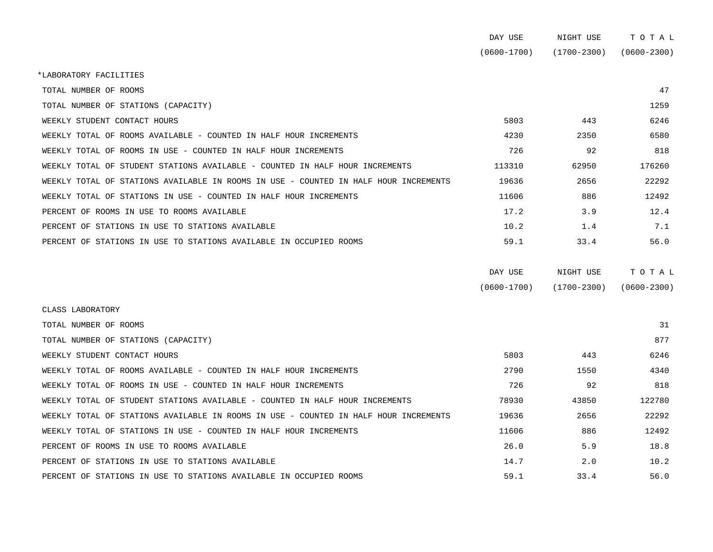|                                                                                      | DAY USE         | NIGHT USE       | TOTAL           |
|--------------------------------------------------------------------------------------|-----------------|-----------------|-----------------|
|                                                                                      | $(0600 - 1700)$ | $(1700 - 2300)$ | $(0600 - 2300)$ |
| *LABORATORY FACILITIES                                                               |                 |                 |                 |
| TOTAL NUMBER OF ROOMS                                                                |                 |                 | 47              |
| TOTAL NUMBER OF STATIONS (CAPACITY)                                                  |                 |                 | 1259            |
| WEEKLY STUDENT CONTACT HOURS                                                         | 5803            | 443             | 6246            |
| WEEKLY TOTAL OF ROOMS AVAILABLE - COUNTED IN HALF HOUR INCREMENTS                    | 4230            | 2350            | 6580            |
| WEEKLY TOTAL OF ROOMS IN USE - COUNTED IN HALF HOUR INCREMENTS                       | 726             | 92              | 818             |
| WEEKLY TOTAL OF STUDENT STATIONS AVAILABLE - COUNTED IN HALF HOUR INCREMENTS         | 113310          | 62950           | 176260          |
| WEEKLY TOTAL OF STATIONS AVAILABLE IN ROOMS IN USE - COUNTED IN HALF HOUR INCREMENTS | 19636           | 2656            | 22292           |
| WEEKLY TOTAL OF STATIONS IN USE - COUNTED IN HALF HOUR INCREMENTS                    | 11606           | 886             | 12492           |
| PERCENT OF ROOMS IN USE TO ROOMS AVAILABLE                                           | 17.2            | 3.9             | 12.4            |
| PERCENT OF STATIONS IN USE TO STATIONS AVAILABLE                                     | 10.2            | 1.4             | 7.1             |
| PERCENT OF STATIONS IN USE TO STATIONS AVAILABLE IN OCCUPIED ROOMS                   | 59.1            | 33.4            | 56.0            |
|                                                                                      | DAY USE         | NIGHT USE       | TOTAL           |
|                                                                                      | $(0600 - 1700)$ | $(1700 - 2300)$ | $(0600 - 2300)$ |
| CLASS LABORATORY                                                                     |                 |                 |                 |
| TOTAL NUMBER OF ROOMS                                                                |                 |                 | 31              |
| TOTAL NUMBER OF STATIONS (CAPACITY)                                                  |                 |                 | 877             |
| WEEKLY STUDENT CONTACT HOURS                                                         | 5803            | 443             | 6246            |
| WEEKLY TOTAL OF ROOMS AVAILABLE - COUNTED IN HALF HOUR INCREMENTS                    | 2790            | 1550            | 4340            |
| WEEKLY TOTAL OF ROOMS IN USE - COUNTED IN HALF HOUR INCREMENTS                       | 726             | 92              | 818             |

PERCENT OF STATIONS IN USE TO STATIONS AVAILABLE IN OCCUPIED ROOMS 59.1 33.4 56.0

WEEKLY TOTAL OF STUDENT STATIONS AVAILABLE - COUNTED IN HALF HOUR INCREMENTS 78930 78930 43850 122780 WEEKLY TOTAL OF STATIONS AVAILABLE IN ROOMS IN USE - COUNTED IN HALF HOUR INCREMENTS 19636 2656 22292 WEEKLY TOTAL OF STATIONS IN USE - COUNTED IN HALF HOUR INCREMENTS 1886 12492 PERCENT OF ROOMS IN USE TO ROOMS AVAILABLE **18.8** 26.0 5.9 18.8 PERCENT OF STATIONS IN USE TO STATIONS AVAILABLE  $14.7$  2.0 10.2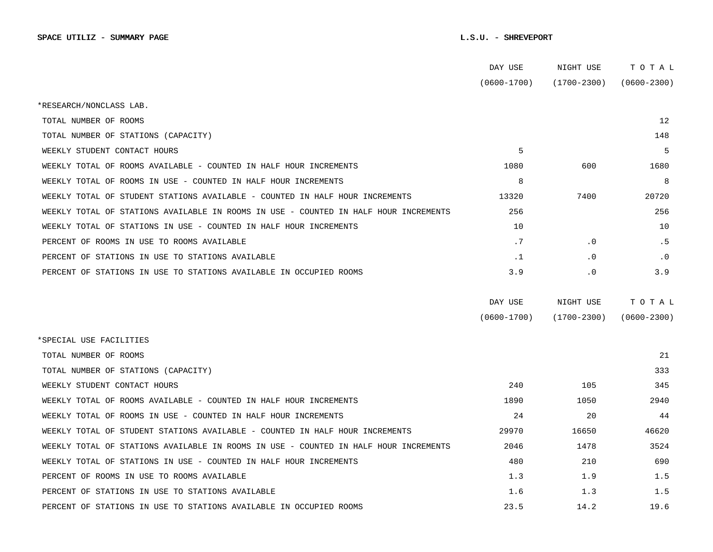|                                                                                      | DAY USE         | NIGHT USE       | тотаь           |
|--------------------------------------------------------------------------------------|-----------------|-----------------|-----------------|
|                                                                                      | $(0600 - 1700)$ | (1700-2300)     | $(0600 - 2300)$ |
| *RESEARCH/NONCLASS LAB.                                                              |                 |                 |                 |
| TOTAL NUMBER OF ROOMS                                                                |                 |                 | 12              |
| TOTAL NUMBER OF STATIONS (CAPACITY)                                                  |                 |                 | 148             |
| WEEKLY STUDENT CONTACT HOURS                                                         | 5               |                 | 5               |
| WEEKLY TOTAL OF ROOMS AVAILABLE - COUNTED IN HALF HOUR INCREMENTS                    | 1080            | 600             | 1680            |
| WEEKLY TOTAL OF ROOMS IN USE - COUNTED IN HALF HOUR INCREMENTS                       | 8               |                 | 8               |
| WEEKLY TOTAL OF STUDENT STATIONS AVAILABLE - COUNTED IN HALF HOUR INCREMENTS         | 13320           | 7400            | 20720           |
| WEEKLY TOTAL OF STATIONS AVAILABLE IN ROOMS IN USE - COUNTED IN HALF HOUR INCREMENTS | 256             |                 | 256             |
| WEEKLY TOTAL OF STATIONS IN USE - COUNTED IN HALF HOUR INCREMENTS                    | 10              |                 | 10              |
| PERCENT OF ROOMS IN USE TO ROOMS AVAILABLE                                           | .7              | $\cdot$ 0       | . 5             |
| PERCENT OF STATIONS IN USE TO STATIONS AVAILABLE                                     | $\cdot$ 1       | $\cdot$ 0       | $\cdot$ 0       |
| PERCENT OF STATIONS IN USE TO STATIONS AVAILABLE IN OCCUPIED ROOMS                   | 3.9             | $\cdot$ 0       | 3.9             |
|                                                                                      | DAY USE         | NIGHT USE       | TOTAL           |
|                                                                                      | $(0600 - 1700)$ | $(1700 - 2300)$ | $(0600 - 2300)$ |
| *SPECIAL USE FACILITIES                                                              |                 |                 |                 |
| TOTAL NUMBER OF ROOMS                                                                |                 |                 | 21              |
| TOTAL NUMBER OF STATIONS (CAPACITY)                                                  |                 |                 | 333             |
| WEEKLY STUDENT CONTACT HOURS                                                         | 240             | 105             | 345             |
| WEEKLY TOTAL OF ROOMS AVAILABLE - COUNTED IN HALF HOUR INCREMENTS                    | 1890            | 1050            | 2940            |
| WEEKLY TOTAL OF ROOMS IN USE - COUNTED IN HALF HOUR INCREMENTS                       | 24              | 20              | 44              |
| WEEKLY TOTAL OF STUDENT STATIONS AVAILABLE - COUNTED IN HALF HOUR INCREMENTS         | 29970           | 16650           | 46620           |
| WEEKLY TOTAL OF STATIONS AVAILABLE IN ROOMS IN USE - COUNTED IN HALF HOUR INCREMENTS | 2046            | 1478            | 3524            |
| WEEKLY TOTAL OF STATIONS IN USE - COUNTED IN HALF HOUR INCREMENTS                    | 480             | 210             | 690             |
| PERCENT OF ROOMS IN USE TO ROOMS AVAILABLE                                           | 1.3             | 1.9             | 1.5             |
| PERCENT OF STATIONS IN USE TO STATIONS AVAILABLE                                     | 1.6             | 1.3             | 1.5             |
| PERCENT OF STATIONS IN USE TO STATIONS AVAILABLE IN OCCUPIED ROOMS                   | 23.5            | 14.2            | 19.6            |